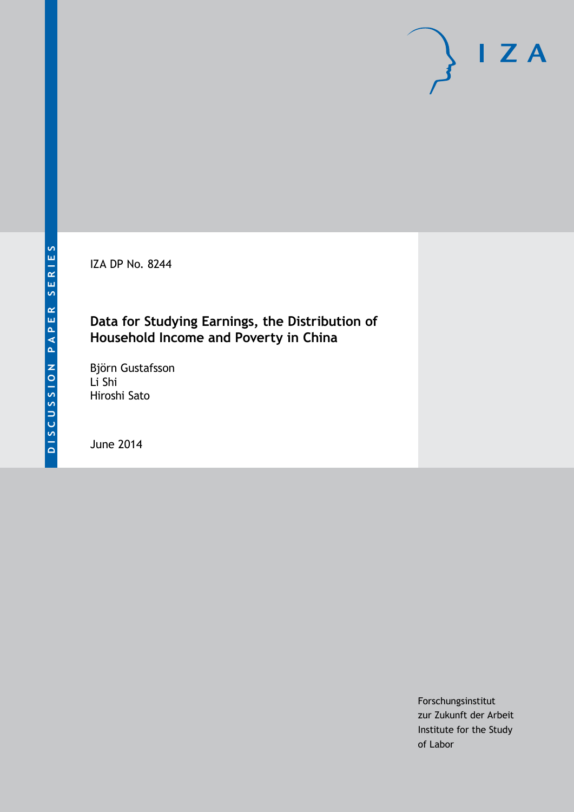IZA DP No. 8244

## **Data for Studying Earnings, the Distribution of Household Income and Poverty in China**

Björn Gustafsson Li Shi Hiroshi Sato

June 2014

Forschungsinstitut zur Zukunft der Arbeit Institute for the Study of Labor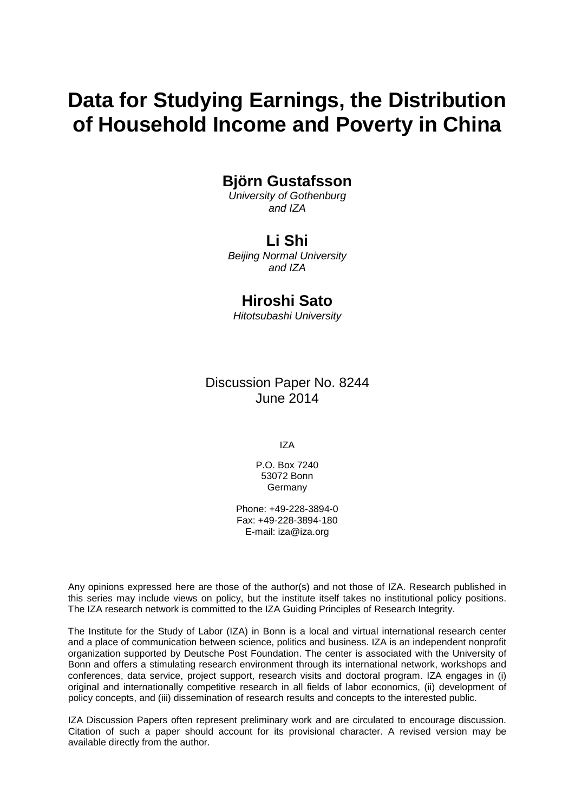# **Data for Studying Earnings, the Distribution of Household Income and Poverty in China**

## **Björn Gustafsson**

*University of Gothenburg and IZA*

## **Li Shi**

*Beijing Normal University and IZA*

## **Hiroshi Sato**

*Hitotsubashi University*

Discussion Paper No. 8244 June 2014

IZA

P.O. Box 7240 53072 Bonn Germany

Phone: +49-228-3894-0 Fax: +49-228-3894-180 E-mail: [iza@iza.org](mailto:iza@iza.org)

Any opinions expressed here are those of the author(s) and not those of IZA. Research published in this series may include views on policy, but the institute itself takes no institutional policy positions. The IZA research network is committed to the IZA Guiding Principles of Research Integrity.

The Institute for the Study of Labor (IZA) in Bonn is a local and virtual international research center and a place of communication between science, politics and business. IZA is an independent nonprofit organization supported by Deutsche Post Foundation. The center is associated with the University of Bonn and offers a stimulating research environment through its international network, workshops and conferences, data service, project support, research visits and doctoral program. IZA engages in (i) original and internationally competitive research in all fields of labor economics, (ii) development of policy concepts, and (iii) dissemination of research results and concepts to the interested public.

<span id="page-1-0"></span>IZA Discussion Papers often represent preliminary work and are circulated to encourage discussion. Citation of such a paper should account for its provisional character. A revised version may be available directly from the author.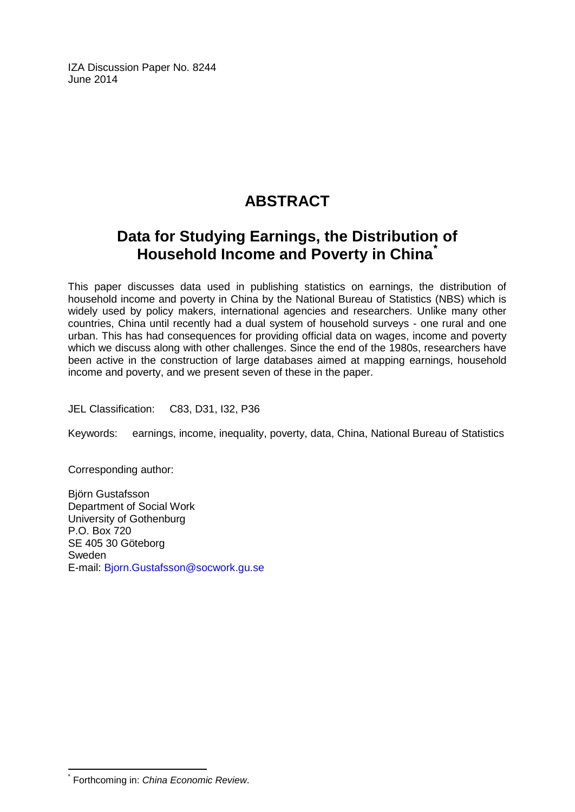IZA Discussion Paper No. 8244 June 2014

## **ABSTRACT**

## **Data for Studying Earnings, the Distribution of Household Income and Poverty in China[\\*](#page-1-0)**

This paper discusses data used in publishing statistics on earnings, the distribution of household income and poverty in China by the National Bureau of Statistics (NBS) which is widely used by policy makers, international agencies and researchers. Unlike many other countries, China until recently had a dual system of household surveys - one rural and one urban. This has had consequences for providing official data on wages, income and poverty which we discuss along with other challenges. Since the end of the 1980s, researchers have been active in the construction of large databases aimed at mapping earnings, household income and poverty, and we present seven of these in the paper.

JEL Classification: C83, D31, I32, P36

Keywords: earnings, income, inequality, poverty, data, China, National Bureau of Statistics

Corresponding author:

Björn Gustafsson Department of Social Work University of Gothenburg P.O. Box 720 SE 405 30 Göteborg Sweden E-mail: [Bjorn.Gustafsson@socwork.gu.se](mailto:Bjorn.Gustafsson@socwork.gu.se)

\* Forthcoming in: *China Economic Review*.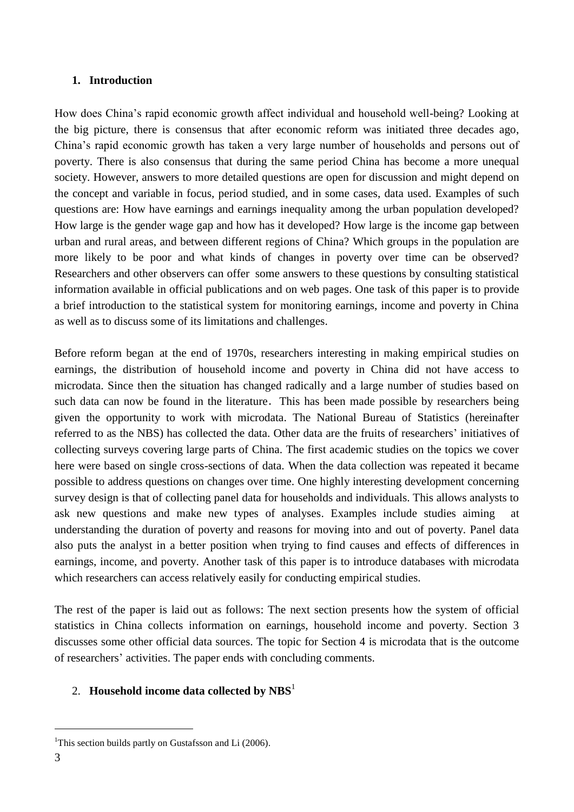#### **1. Introduction**

How does China's rapid economic growth affect individual and household well-being? Looking at the big picture, there is consensus that after economic reform was initiated three decades ago, China's rapid economic growth has taken a very large number of households and persons out of poverty. There is also consensus that during the same period China has become a more unequal society. However, answers to more detailed questions are open for discussion and might depend on the concept and variable in focus, period studied, and in some cases, data used. Examples of such questions are: How have earnings and earnings inequality among the urban population developed? How large is the gender wage gap and how has it developed? How large is the income gap between urban and rural areas, and between different regions of China? Which groups in the population are more likely to be poor and what kinds of changes in poverty over time can be observed? Researchers and other observers can offer some answers to these questions by consulting statistical information available in official publications and on web pages. One task of this paper is to provide a brief introduction to the statistical system for monitoring earnings, income and poverty in China as well as to discuss some of its limitations and challenges.

Before reform began at the end of 1970s, researchers interesting in making empirical studies on earnings, the distribution of household income and poverty in China did not have access to microdata. Since then the situation has changed radically and a large number of studies based on such data can now be found in the literature. This has been made possible by researchers being given the opportunity to work with microdata. The National Bureau of Statistics (hereinafter referred to as the NBS) has collected the data. Other data are the fruits of researchers' initiatives of collecting surveys covering large parts of China. The first academic studies on the topics we cover here were based on single cross-sections of data. When the data collection was repeated it became possible to address questions on changes over time. One highly interesting development concerning survey design is that of collecting panel data for households and individuals. This allows analysts to ask new questions and make new types of analyses. Examples include studies aiming at understanding the duration of poverty and reasons for moving into and out of poverty. Panel data also puts the analyst in a better position when trying to find causes and effects of differences in earnings, income, and poverty. Another task of this paper is to introduce databases with microdata which researchers can access relatively easily for conducting empirical studies.

The rest of the paper is laid out as follows: The next section presents how the system of official statistics in China collects information on earnings, household income and poverty. Section 3 discusses some other official data sources. The topic for Section 4 is microdata that is the outcome of researchers' activities. The paper ends with concluding comments.

## 2. **Household income data collected by NBS**<sup>1</sup>

1

<sup>&</sup>lt;sup>1</sup>This section builds partly on Gustafsson and Li  $(2006)$ .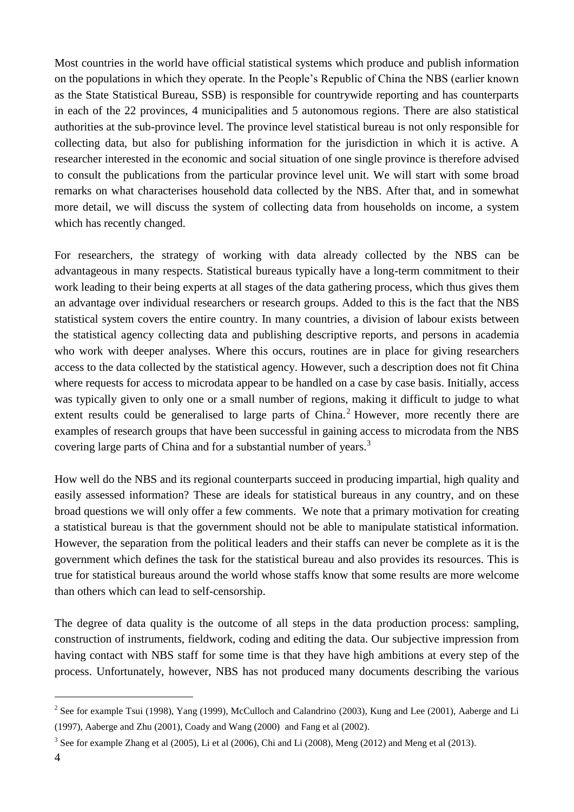Most countries in the world have official statistical systems which produce and publish information on the populations in which they operate. In the People's Republic of China the NBS (earlier known as the State Statistical Bureau, SSB) is responsible for countrywide reporting and has counterparts in each of the 22 provinces, 4 municipalities and 5 autonomous regions. There are also statistical authorities at the sub-province level. The province level statistical bureau is not only responsible for collecting data, but also for publishing information for the jurisdiction in which it is active. A researcher interested in the economic and social situation of one single province is therefore advised to consult the publications from the particular province level unit. We will start with some broad remarks on what characterises household data collected by the NBS. After that, and in somewhat more detail, we will discuss the system of collecting data from households on income, a system which has recently changed.

For researchers, the strategy of working with data already collected by the NBS can be advantageous in many respects. Statistical bureaus typically have a long-term commitment to their work leading to their being experts at all stages of the data gathering process, which thus gives them an advantage over individual researchers or research groups. Added to this is the fact that the NBS statistical system covers the entire country. In many countries, a division of labour exists between the statistical agency collecting data and publishing descriptive reports, and persons in academia who work with deeper analyses. Where this occurs, routines are in place for giving researchers access to the data collected by the statistical agency. However, such a description does not fit China where requests for access to microdata appear to be handled on a case by case basis. Initially, access was typically given to only one or a small number of regions, making it difficult to judge to what extent results could be generalised to large parts of  $China<sup>2</sup>$  However, more recently there are examples of research groups that have been successful in gaining access to microdata from the NBS covering large parts of China and for a substantial number of years.<sup>3</sup>

How well do the NBS and its regional counterparts succeed in producing impartial, high quality and easily assessed information? These are ideals for statistical bureaus in any country, and on these broad questions we will only offer a few comments. We note that a primary motivation for creating a statistical bureau is that the government should not be able to manipulate statistical information. However, the separation from the political leaders and their staffs can never be complete as it is the government which defines the task for the statistical bureau and also provides its resources. This is true for statistical bureaus around the world whose staffs know that some results are more welcome than others which can lead to self-censorship.

The degree of data quality is the outcome of all steps in the data production process: sampling, construction of instruments, fieldwork, coding and editing the data. Our subjective impression from having contact with NBS staff for some time is that they have high ambitions at every step of the process. Unfortunately, however, NBS has not produced many documents describing the various

<sup>&</sup>lt;sup>2</sup> See for example Tsui (1998), Yang (1999), McCulloch and Calandrino (2003), Kung and Lee (2001), Aaberge and Li (1997), Aaberge and Zhu (2001), Coady and Wang (2000) and Fang et al (2002).

<sup>&</sup>lt;sup>3</sup> See for example Zhang et al (2005), Li et al (2006), Chi and Li (2008), Meng (2012) and Meng et al (2013).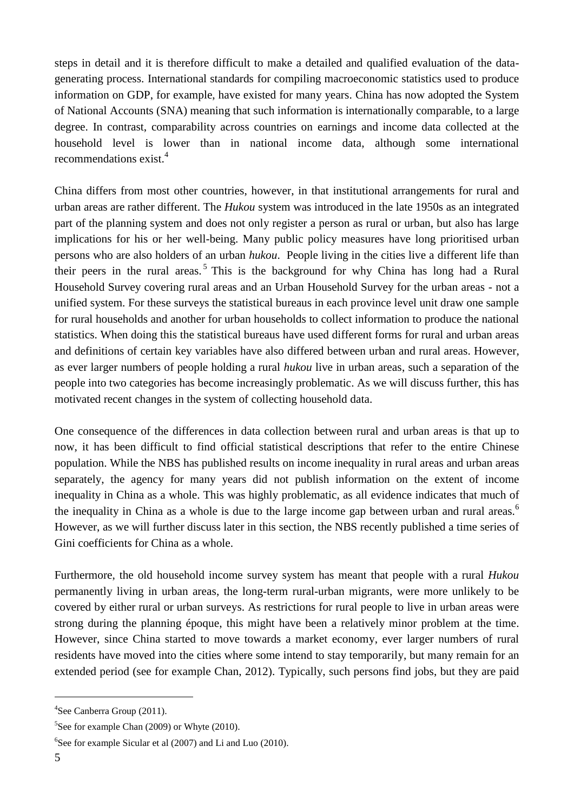steps in detail and it is therefore difficult to make a detailed and qualified evaluation of the datagenerating process. International standards for compiling macroeconomic statistics used to produce information on GDP, for example, have existed for many years. China has now adopted the System of National Accounts (SNA) meaning that such information is internationally comparable, to a large degree. In contrast, comparability across countries on earnings and income data collected at the household level is lower than in national income data, although some international recommendations exist.<sup>4</sup>

China differs from most other countries, however, in that institutional arrangements for rural and urban areas are rather different. The *Hukou* system was introduced in the late 1950s as an integrated part of the planning system and does not only register a person as rural or urban, but also has large implications for his or her well-being. Many public policy measures have long prioritised urban persons who are also holders of an urban *hukou*. People living in the cities live a different life than their peers in the rural areas.<sup>5</sup> This is the background for why China has long had a Rural Household Survey covering rural areas and an Urban Household Survey for the urban areas - not a unified system. For these surveys the statistical bureaus in each province level unit draw one sample for rural households and another for urban households to collect information to produce the national statistics. When doing this the statistical bureaus have used different forms for rural and urban areas and definitions of certain key variables have also differed between urban and rural areas. However, as ever larger numbers of people holding a rural *hukou* live in urban areas, such a separation of the people into two categories has become increasingly problematic. As we will discuss further, this has motivated recent changes in the system of collecting household data.

One consequence of the differences in data collection between rural and urban areas is that up to now, it has been difficult to find official statistical descriptions that refer to the entire Chinese population. While the NBS has published results on income inequality in rural areas and urban areas separately, the agency for many years did not publish information on the extent of income inequality in China as a whole. This was highly problematic, as all evidence indicates that much of the inequality in China as a whole is due to the large income gap between urban and rural areas.<sup>6</sup> However, as we will further discuss later in this section, the NBS recently published a time series of Gini coefficients for China as a whole.

Furthermore, the old household income survey system has meant that people with a rural *Hukou* permanently living in urban areas, the long-term rural-urban migrants, were more unlikely to be covered by either rural or urban surveys. As restrictions for rural people to live in urban areas were strong during the planning époque, this might have been a relatively minor problem at the time. However, since China started to move towards a market economy, ever larger numbers of rural residents have moved into the cities where some intend to stay temporarily, but many remain for an extended period (see for example Chan, 2012). Typically, such persons find jobs, but they are paid

<sup>4</sup> See Canberra Group (2011).

<sup>&</sup>lt;sup>5</sup>See for example Chan (2009) or Whyte (2010).

<sup>&</sup>lt;sup>6</sup>See for example Sicular et al  $(2007)$  and Li and Luo  $(2010)$ .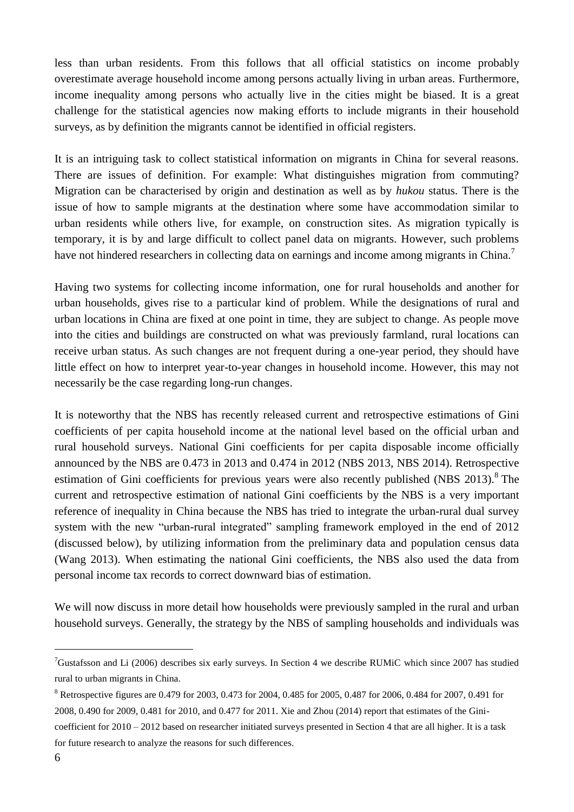less than urban residents. From this follows that all official statistics on income probably overestimate average household income among persons actually living in urban areas. Furthermore, income inequality among persons who actually live in the cities might be biased. It is a great challenge for the statistical agencies now making efforts to include migrants in their household surveys, as by definition the migrants cannot be identified in official registers.

It is an intriguing task to collect statistical information on migrants in China for several reasons. There are issues of definition. For example: What distinguishes migration from commuting? Migration can be characterised by origin and destination as well as by *hukou* status. There is the issue of how to sample migrants at the destination where some have accommodation similar to urban residents while others live, for example, on construction sites. As migration typically is temporary, it is by and large difficult to collect panel data on migrants. However, such problems have not hindered researchers in collecting data on earnings and income among migrants in China.<sup>7</sup>

Having two systems for collecting income information, one for rural households and another for urban households, gives rise to a particular kind of problem. While the designations of rural and urban locations in China are fixed at one point in time, they are subject to change. As people move into the cities and buildings are constructed on what was previously farmland, rural locations can receive urban status. As such changes are not frequent during a one-year period, they should have little effect on how to interpret year-to-year changes in household income. However, this may not necessarily be the case regarding long-run changes.

It is noteworthy that the NBS has recently released current and retrospective estimations of Gini coefficients of per capita household income at the national level based on the official urban and rural household surveys. National Gini coefficients for per capita disposable income officially announced by the NBS are 0.473 in 2013 and 0.474 in 2012 (NBS 2013, NBS 2014). Retrospective estimation of Gini coefficients for previous years were also recently published (NBS 2013).<sup>8</sup> The current and retrospective estimation of national Gini coefficients by the NBS is a very important reference of inequality in China because the NBS has tried to integrate the urban-rural dual survey system with the new "urban-rural integrated" sampling framework employed in the end of 2012 (discussed below), by utilizing information from the preliminary data and population census data (Wang 2013). When estimating the national Gini coefficients, the NBS also used the data from personal income tax records to correct downward bias of estimation.

We will now discuss in more detail how households were previously sampled in the rural and urban household surveys. Generally, the strategy by the NBS of sampling households and individuals was

<sup>7</sup>Gustafsson and Li (2006) describes six early surveys. In Section 4 we describe RUMiC which since 2007 has studied rural to urban migrants in China.

<sup>8</sup> Retrospective figures are 0.479 for 2003, 0.473 for 2004, 0.485 for 2005, 0.487 for 2006, 0.484 for 2007, 0.491 for 2008, 0.490 for 2009, 0.481 for 2010, and 0.477 for 2011. Xie and Zhou (2014) report that estimates of the Ginicoefficient for 2010 – 2012 based on researcher initiated surveys presented in Section 4 that are all higher. It is a task for future research to analyze the reasons for such differences.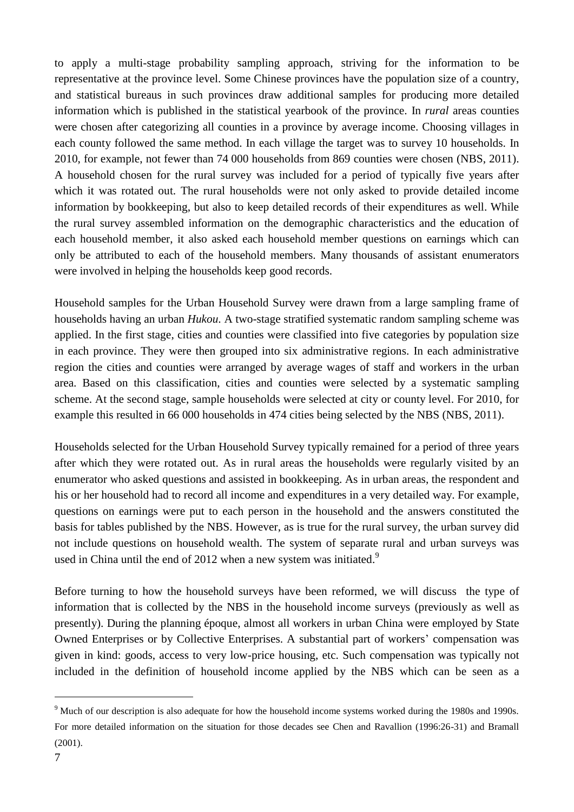to apply a multi-stage probability sampling approach, striving for the information to be representative at the province level. Some Chinese provinces have the population size of a country, and statistical bureaus in such provinces draw additional samples for producing more detailed information which is published in the statistical yearbook of the province. In *rural* areas counties were chosen after categorizing all counties in a province by average income. Choosing villages in each county followed the same method. In each village the target was to survey 10 households. In 2010, for example, not fewer than 74 000 households from 869 counties were chosen (NBS, 2011). A household chosen for the rural survey was included for a period of typically five years after which it was rotated out. The rural households were not only asked to provide detailed income information by bookkeeping, but also to keep detailed records of their expenditures as well. While the rural survey assembled information on the demographic characteristics and the education of each household member, it also asked each household member questions on earnings which can only be attributed to each of the household members. Many thousands of assistant enumerators were involved in helping the households keep good records.

Household samples for the Urban Household Survey were drawn from a large sampling frame of households having an urban *Hukou*. A two-stage stratified systematic random sampling scheme was applied. In the first stage, cities and counties were classified into five categories by population size in each province. They were then grouped into six administrative regions. In each administrative region the cities and counties were arranged by average wages of staff and workers in the urban area. Based on this classification, cities and counties were selected by a systematic sampling scheme. At the second stage, sample households were selected at city or county level. For 2010, for example this resulted in 66 000 households in 474 cities being selected by the NBS (NBS, 2011).

Households selected for the Urban Household Survey typically remained for a period of three years after which they were rotated out. As in rural areas the households were regularly visited by an enumerator who asked questions and assisted in bookkeeping. As in urban areas, the respondent and his or her household had to record all income and expenditures in a very detailed way. For example, questions on earnings were put to each person in the household and the answers constituted the basis for tables published by the NBS. However, as is true for the rural survey, the urban survey did not include questions on household wealth. The system of separate rural and urban surveys was used in China until the end of 2012 when a new system was initiated.<sup>9</sup>

Before turning to how the household surveys have been reformed, we will discuss the type of information that is collected by the NBS in the household income surveys (previously as well as presently). During the planning époque, almost all workers in urban China were employed by State Owned Enterprises or by Collective Enterprises. A substantial part of workers' compensation was given in kind: goods, access to very low-price housing, etc. Such compensation was typically not included in the definition of household income applied by the NBS which can be seen as a

<sup>&</sup>lt;sup>9</sup> Much of our description is also adequate for how the household income systems worked during the 1980s and 1990s. For more detailed information on the situation for those decades see Chen and Ravallion (1996:26-31) and Bramall (2001).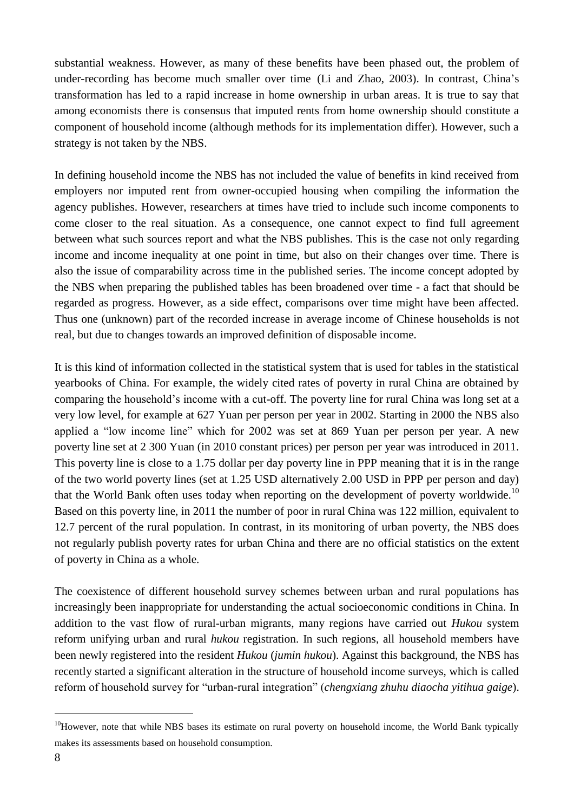substantial weakness. However, as many of these benefits have been phased out, the problem of under-recording has become much smaller over time (Li and Zhao, 2003). In contrast, China's transformation has led to a rapid increase in home ownership in urban areas. It is true to say that among economists there is consensus that imputed rents from home ownership should constitute a component of household income (although methods for its implementation differ). However, such a strategy is not taken by the NBS.

In defining household income the NBS has not included the value of benefits in kind received from employers nor imputed rent from owner-occupied housing when compiling the information the agency publishes. However, researchers at times have tried to include such income components to come closer to the real situation. As a consequence, one cannot expect to find full agreement between what such sources report and what the NBS publishes. This is the case not only regarding income and income inequality at one point in time, but also on their changes over time. There is also the issue of comparability across time in the published series. The income concept adopted by the NBS when preparing the published tables has been broadened over time - a fact that should be regarded as progress. However, as a side effect, comparisons over time might have been affected. Thus one (unknown) part of the recorded increase in average income of Chinese households is not real, but due to changes towards an improved definition of disposable income.

It is this kind of information collected in the statistical system that is used for tables in the statistical yearbooks of China. For example, the widely cited rates of poverty in rural China are obtained by comparing the household's income with a cut-off. The poverty line for rural China was long set at a very low level, for example at 627 Yuan per person per year in 2002. Starting in 2000 the NBS also applied a "low income line" which for 2002 was set at 869 Yuan per person per year. A new poverty line set at 2 300 Yuan (in 2010 constant prices) per person per year was introduced in 2011. This poverty line is close to a 1.75 dollar per day poverty line in PPP meaning that it is in the range of the two world poverty lines (set at 1.25 USD alternatively 2.00 USD in PPP per person and day) that the World Bank often uses today when reporting on the development of poverty worldwide.<sup>10</sup> Based on this poverty line, in 2011 the number of poor in rural China was 122 million, equivalent to 12.7 percent of the rural population. In contrast, in its monitoring of urban poverty, the NBS does not regularly publish poverty rates for urban China and there are no official statistics on the extent of poverty in China as a whole.

The coexistence of different household survey schemes between urban and rural populations has increasingly been inappropriate for understanding the actual socioeconomic conditions in China. In addition to the vast flow of rural-urban migrants, many regions have carried out *Hukou* system reform unifying urban and rural *hukou* registration. In such regions, all household members have been newly registered into the resident *Hukou* (*jumin hukou*). Against this background, the NBS has recently started a significant alteration in the structure of household income surveys, which is called reform of household survey for "urban-rural integration" (*chengxiang zhuhu diaocha yitihua gaige*).

<sup>&</sup>lt;sup>10</sup>However, note that while NBS bases its estimate on rural poverty on household income, the World Bank typically makes its assessments based on household consumption.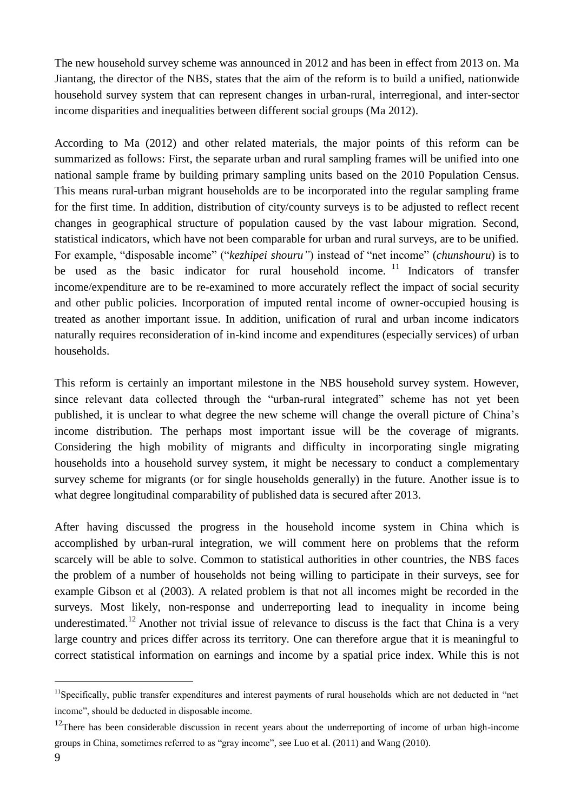The new household survey scheme was announced in 2012 and has been in effect from 2013 on. Ma Jiantang, the director of the NBS, states that the aim of the reform is to build a unified, nationwide household survey system that can represent changes in urban-rural, interregional, and inter-sector income disparities and inequalities between different social groups (Ma 2012).

According to Ma (2012) and other related materials, the major points of this reform can be summarized as follows: First, the separate urban and rural sampling frames will be unified into one national sample frame by building primary sampling units based on the 2010 Population Census. This means rural-urban migrant households are to be incorporated into the regular sampling frame for the first time. In addition, distribution of city/county surveys is to be adjusted to reflect recent changes in geographical structure of population caused by the vast labour migration. Second, statistical indicators, which have not been comparable for urban and rural surveys, are to be unified. For example, "disposable income" ("*kezhipei shouru"*) instead of "net income" (*chunshouru*) is to be used as the basic indicator for rural household income.<sup>11</sup> Indicators of transfer income/expenditure are to be re-examined to more accurately reflect the impact of social security and other public policies. Incorporation of imputed rental income of owner-occupied housing is treated as another important issue. In addition, unification of rural and urban income indicators naturally requires reconsideration of in-kind income and expenditures (especially services) of urban households.

This reform is certainly an important milestone in the NBS household survey system. However, since relevant data collected through the "urban-rural integrated" scheme has not yet been published, it is unclear to what degree the new scheme will change the overall picture of China's income distribution. The perhaps most important issue will be the coverage of migrants. Considering the high mobility of migrants and difficulty in incorporating single migrating households into a household survey system, it might be necessary to conduct a complementary survey scheme for migrants (or for single households generally) in the future. Another issue is to what degree longitudinal comparability of published data is secured after 2013.

After having discussed the progress in the household income system in China which is accomplished by urban-rural integration, we will comment here on problems that the reform scarcely will be able to solve. Common to statistical authorities in other countries, the NBS faces the problem of a number of households not being willing to participate in their surveys, see for example Gibson et al (2003). A related problem is that not all incomes might be recorded in the surveys. Most likely, non-response and underreporting lead to inequality in income being underestimated.<sup>12</sup> Another not trivial issue of relevance to discuss is the fact that China is a very large country and prices differ across its territory. One can therefore argue that it is meaningful to correct statistical information on earnings and income by a spatial price index. While this is not

-

<sup>&</sup>lt;sup>11</sup>Specifically, public transfer expenditures and interest payments of rural households which are not deducted in "net income", should be deducted in disposable income.

 $12$ There has been considerable discussion in recent years about the underreporting of income of urban high-income groups in China, sometimes referred to as "gray income", see Luo et al. (2011) and Wang (2010).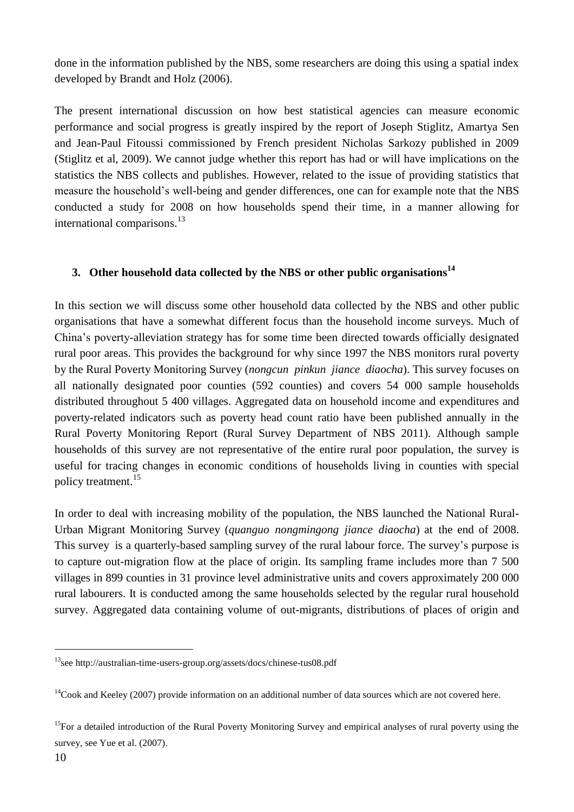done in the information published by the NBS, some researchers are doing this using a spatial index developed by Brandt and Holz (2006).

The present international discussion on how best statistical agencies can measure economic performance and social progress is greatly inspired by the report of Joseph Stiglitz, Amartya Sen and Jean-Paul Fitoussi commissioned by French president Nicholas Sarkozy published in 2009 (Stiglitz et al, 2009). We cannot judge whether this report has had or will have implications on the statistics the NBS collects and publishes. However, related to the issue of providing statistics that measure the household's well-being and gender differences, one can for example note that the NBS conducted a study for 2008 on how households spend their time, in a manner allowing for international comparisons.<sup>13</sup>

### **3. Other household data collected by the NBS or other public organisations<sup>14</sup>**

In this section we will discuss some other household data collected by the NBS and other public organisations that have a somewhat different focus than the household income surveys. Much of China's poverty-alleviation strategy has for some time been directed towards officially designated rural poor areas. This provides the background for why since 1997 the NBS monitors rural poverty by the Rural Poverty Monitoring Survey (*nongcun pinkun jiance diaocha*). This survey focuses on all nationally designated poor counties (592 counties) and covers 54 000 sample households distributed throughout 5 400 villages. Aggregated data on household income and expenditures and poverty-related indicators such as poverty head count ratio have been published annually in the Rural Poverty Monitoring Report (Rural Survey Department of NBS 2011). Although sample households of this survey are not representative of the entire rural poor population, the survey is useful for tracing changes in economic conditions of households living in counties with special policy treatment. 15

In order to deal with increasing mobility of the population, the NBS launched the National Rural-Urban Migrant Monitoring Survey (*quanguo nongmingong jiance diaocha*) at the end of 2008. This survey is a quarterly-based sampling survey of the rural labour force. The survey's purpose is to capture out-migration flow at the place of origin. Its sampling frame includes more than 7 500 villages in 899 counties in 31 province level administrative units and covers approximately 200 000 rural labourers. It is conducted among the same households selected by the regular rural household survey. Aggregated data containing volume of out-migrants, distributions of places of origin and

<sup>15</sup>For a detailed introduction of the Rural Poverty Monitoring Survey and empirical analyses of rural poverty using the survey, see Yue et al. (2007).

<sup>13</sup>see http://australian-time-users-group.org/assets/docs/chinese-tus08.pdf

 $14$ Cook and Keeley (2007) provide information on an additional number of data sources which are not covered here.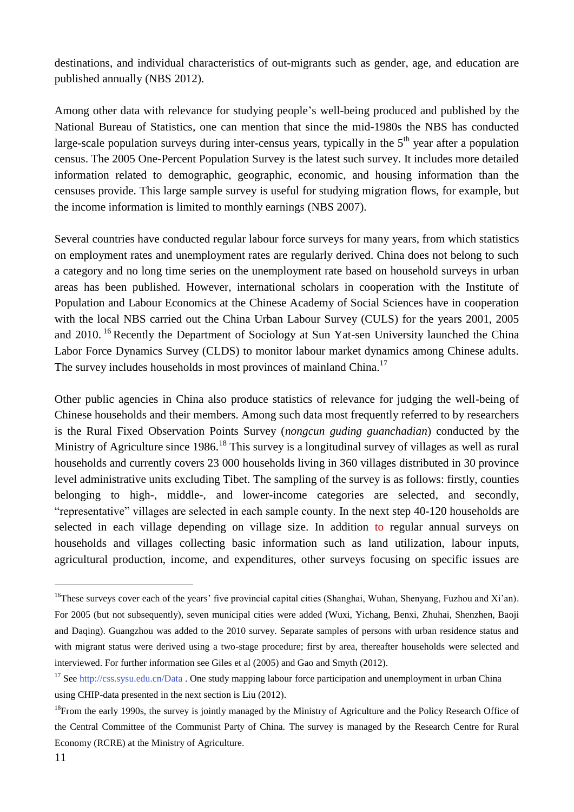destinations, and individual characteristics of out-migrants such as gender, age, and education are published annually (NBS 2012).

Among other data with relevance for studying people's well-being produced and published by the National Bureau of Statistics, one can mention that since the mid-1980s the NBS has conducted large-scale population surveys during inter-census years, typically in the  $5<sup>th</sup>$  year after a population census. The 2005 One-Percent Population Survey is the latest such survey. It includes more detailed information related to demographic, geographic, economic, and housing information than the censuses provide. This large sample survey is useful for studying migration flows, for example, but the income information is limited to monthly earnings (NBS 2007).

Several countries have conducted regular labour force surveys for many years, from which statistics on employment rates and unemployment rates are regularly derived. China does not belong to such a category and no long time series on the unemployment rate based on household surveys in urban areas has been published. However, international scholars in cooperation with the Institute of Population and Labour Economics at the Chinese Academy of Social Sciences have in cooperation with the local NBS carried out the China Urban Labour Survey (CULS) for the years 2001, 2005 and 2010. <sup>16</sup> Recently the Department of Sociology at Sun Yat-sen University launched the China Labor Force Dynamics Survey (CLDS) to monitor labour market dynamics among Chinese adults. The survey includes households in most provinces of mainland China.<sup>17</sup>

Other public agencies in China also produce statistics of relevance for judging the well-being of Chinese households and their members. Among such data most frequently referred to by researchers is the Rural Fixed Observation Points Survey (*nongcun guding guanchadian*) conducted by the Ministry of Agriculture since 1986.<sup>18</sup> This survey is a longitudinal survey of villages as well as rural households and currently covers 23 000 households living in 360 villages distributed in 30 province level administrative units excluding Tibet. The sampling of the survey is as follows: firstly, counties belonging to high-, middle-, and lower-income categories are selected, and secondly, "representative" villages are selected in each sample county. In the next step 40-120 households are selected in each village depending on village size. In addition to regular annual surveys on households and villages collecting basic information such as land utilization, labour inputs, agricultural production, income, and expenditures, other surveys focusing on specific issues are

<sup>&</sup>lt;sup>16</sup>These surveys cover each of the years' five provincial capital cities (Shanghai, Wuhan, Shenyang, Fuzhou and Xi'an). For 2005 (but not subsequently), seven municipal cities were added (Wuxi, Yichang, Benxi, Zhuhai, Shenzhen, Baoji and Daqing). Guangzhou was added to the 2010 survey. Separate samples of persons with urban residence status and with migrant status were derived using a two-stage procedure; first by area, thereafter households were selected and interviewed. For further information see Giles et al (2005) and Gao and Smyth (2012).

<sup>&</sup>lt;sup>17</sup> Se[e http://css.sysu.edu.cn/Data](http://css.sysu.edu.cn/Data) . One study mapping labour force participation and unemployment in urban China using CHIP-data presented in the next section is Liu (2012).

<sup>&</sup>lt;sup>18</sup>From the early 1990s, the survey is jointly managed by the Ministry of Agriculture and the Policy Research Office of the Central Committee of the Communist Party of China. The survey is managed by the Research Centre for Rural Economy (RCRE) at the Ministry of Agriculture.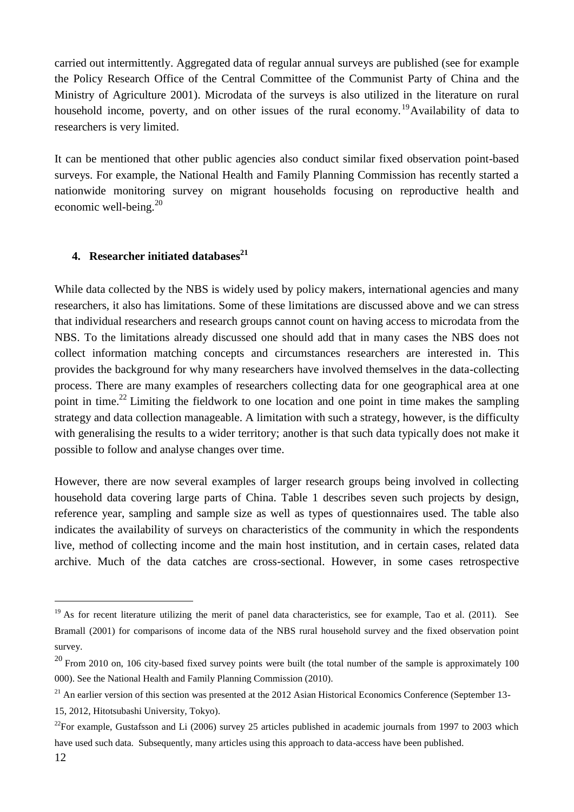carried out intermittently. Aggregated data of regular annual surveys are published (see for example the Policy Research Office of the Central Committee of the Communist Party of China and the Ministry of Agriculture 2001). Microdata of the surveys is also utilized in the literature on rural household income, poverty, and on other issues of the rural economy.<sup>19</sup>Availability of data to researchers is very limited.

It can be mentioned that other public agencies also conduct similar fixed observation point-based surveys. For example, the National Health and Family Planning Commission has recently started a nationwide monitoring survey on migrant households focusing on reproductive health and economic well-being.<sup>20</sup>

#### **4. Researcher initiated databases<sup>21</sup>**

While data collected by the NBS is widely used by policy makers, international agencies and many researchers, it also has limitations. Some of these limitations are discussed above and we can stress that individual researchers and research groups cannot count on having access to microdata from the NBS. To the limitations already discussed one should add that in many cases the NBS does not collect information matching concepts and circumstances researchers are interested in. This provides the background for why many researchers have involved themselves in the data-collecting process. There are many examples of researchers collecting data for one geographical area at one point in time.<sup>22</sup> Limiting the fieldwork to one location and one point in time makes the sampling strategy and data collection manageable. A limitation with such a strategy, however, is the difficulty with generalising the results to a wider territory; another is that such data typically does not make it possible to follow and analyse changes over time.

However, there are now several examples of larger research groups being involved in collecting household data covering large parts of China. Table 1 describes seven such projects by design, reference year, sampling and sample size as well as types of questionnaires used. The table also indicates the availability of surveys on characteristics of the community in which the respondents live, method of collecting income and the main host institution, and in certain cases, related data archive. Much of the data catches are cross-sectional. However, in some cases retrospective

 $19$  As for recent literature utilizing the merit of panel data characteristics, see for example, Tao et al. (2011). See Bramall (2001) for comparisons of income data of the NBS rural household survey and the fixed observation point survey.

 $20$  From 2010 on, 106 city-based fixed survey points were built (the total number of the sample is approximately 100 000). See the National Health and Family Planning Commission (2010).

 $^{21}$  An earlier version of this section was presented at the 2012 Asian Historical Economics Conference (September 13-

<sup>15, 2012,</sup> Hitotsubashi University, Tokyo).

 $^{22}$ For example, Gustafsson and Li (2006) survey 25 articles published in academic journals from 1997 to 2003 which have used such data. Subsequently, many articles using this approach to data-access have been published.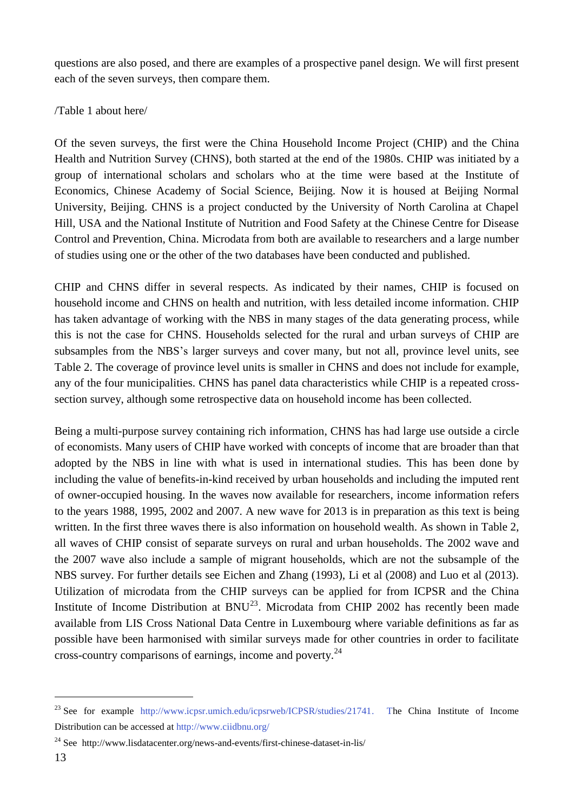questions are also posed, and there are examples of a prospective panel design. We will first present each of the seven surveys, then compare them.

### /Table 1 about here/

Of the seven surveys, the first were the China Household Income Project (CHIP) and the China Health and Nutrition Survey (CHNS), both started at the end of the 1980s. CHIP was initiated by a group of international scholars and scholars who at the time were based at the Institute of Economics, Chinese Academy of Social Science, Beijing. Now it is housed at Beijing Normal University, Beijing. CHNS is a project conducted by the University of North Carolina at Chapel Hill, USA and the National Institute of Nutrition and Food Safety at the Chinese Centre for Disease Control and Prevention, China. Microdata from both are available to researchers and a large number of studies using one or the other of the two databases have been conducted and published.

CHIP and CHNS differ in several respects. As indicated by their names, CHIP is focused on household income and CHNS on health and nutrition, with less detailed income information. CHIP has taken advantage of working with the NBS in many stages of the data generating process, while this is not the case for CHNS. Households selected for the rural and urban surveys of CHIP are subsamples from the NBS's larger surveys and cover many, but not all, province level units, see Table 2. The coverage of province level units is smaller in CHNS and does not include for example, any of the four municipalities. CHNS has panel data characteristics while CHIP is a repeated crosssection survey, although some retrospective data on household income has been collected.

Being a multi-purpose survey containing rich information, CHNS has had large use outside a circle of economists. Many users of CHIP have worked with concepts of income that are broader than that adopted by the NBS in line with what is used in international studies. This has been done by including the value of benefits-in-kind received by urban households and including the imputed rent of owner-occupied housing. In the waves now available for researchers, income information refers to the years 1988, 1995, 2002 and 2007. A new wave for 2013 is in preparation as this text is being written. In the first three waves there is also information on household wealth. As shown in Table 2, all waves of CHIP consist of separate surveys on rural and urban households. The 2002 wave and the 2007 wave also include a sample of migrant households, which are not the subsample of the NBS survey. For further details see Eichen and Zhang (1993), Li et al (2008) and Luo et al (2013). Utilization of microdata from the CHIP surveys can be applied for from ICPSR and the China Institute of Income Distribution at  $BNU^{23}$ . Microdata from CHIP 2002 has recently been made available from LIS Cross National Data Centre in Luxembourg where variable definitions as far as possible have been harmonised with similar surveys made for other countries in order to facilitate cross-country comparisons of earnings, income and poverty.<sup>24</sup>

<sup>&</sup>lt;sup>23</sup> See for example [http://www.icpsr.umich.edu/icpsrweb/ICPSR/studies/21741.](http://www.icpsr.umich.edu/icpsrweb/ICPSR/studies/21741) The China Institute of Income Distribution can be accessed at<http://www.ciidbnu.org/>

<sup>24</sup> See http://www.lisdatacenter.org/news-and-events/first-chinese-dataset-in-lis/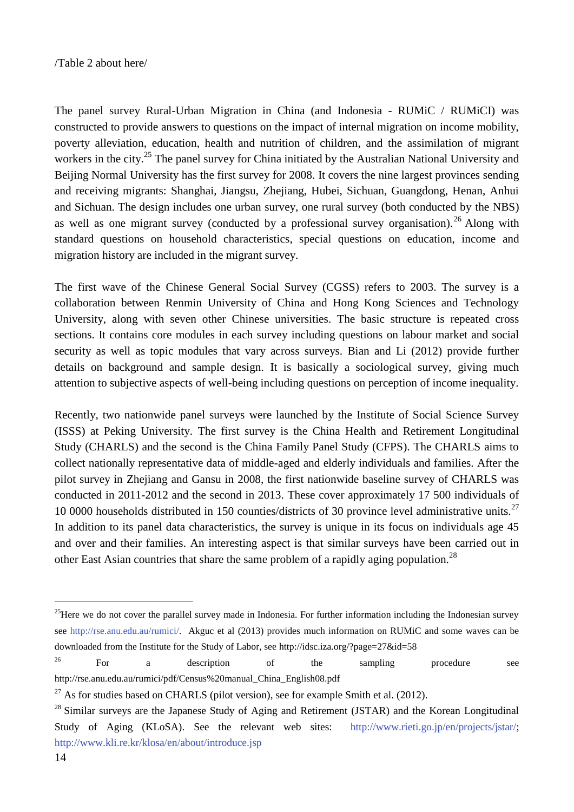The panel survey Rural-Urban Migration in China (and Indonesia - RUMiC / RUMiCI) was constructed to provide answers to questions on the impact of internal migration on income mobility, poverty alleviation, education, health and nutrition of children, and the assimilation of migrant workers in the city.<sup>25</sup> The panel survey for China initiated by the Australian National University and Beijing Normal University has the first survey for 2008. It covers the nine largest provinces sending and receiving migrants: Shanghai, Jiangsu, Zhejiang, Hubei, Sichuan, Guangdong, Henan, Anhui and Sichuan. The design includes one urban survey, one rural survey (both conducted by the NBS) as well as one migrant survey (conducted by a professional survey organisation).<sup>26</sup> Along with standard questions on household characteristics, special questions on education, income and migration history are included in the migrant survey.

The first wave of the Chinese General Social Survey (CGSS) refers to 2003. The survey is a collaboration between Renmin University of China and Hong Kong Sciences and Technology University, along with seven other Chinese universities. The basic structure is repeated cross sections. It contains core modules in each survey including questions on labour market and social security as well as topic modules that vary across surveys. Bian and Li (2012) provide further details on background and sample design. It is basically a sociological survey, giving much attention to subjective aspects of well-being including questions on perception of income inequality.

Recently, two nationwide panel surveys were launched by the Institute of Social Science Survey (ISSS) at Peking University. The first survey is the China Health and Retirement Longitudinal Study (CHARLS) and the second is the China Family Panel Study (CFPS). The CHARLS aims to collect nationally representative data of middle-aged and elderly individuals and families. After the pilot survey in Zhejiang and Gansu in 2008, the first nationwide baseline survey of CHARLS was conducted in 2011-2012 and the second in 2013. These cover approximately 17 500 individuals of 10 0000 households distributed in 150 counties/districts of 30 province level administrative units.<sup>27</sup> In addition to its panel data characteristics, the survey is unique in its focus on individuals age 45 and over and their families. An interesting aspect is that similar surveys have been carried out in other East Asian countries that share the same problem of a rapidly aging population.<sup>28</sup>

 $25$ Here we do not cover the parallel survey made in Indonesia. For further information including the Indonesian survey see [http://rse.anu.edu.au/rumici/.](http://rse.anu.edu.au/rumici/) Akguc et al (2013) provides much information on RUMiC and some waves can be downloaded from the Institute for the Study of Labor, see http://idsc.iza.org/?page=27&id=58

 $26$  For a description of the sampling procedure see http://rse.anu.edu.au/rumici/pdf/Census%20manual\_China\_English08.pdf

 $27$  As for studies based on CHARLS (pilot version), see for example Smith et al. (2012).

<sup>&</sup>lt;sup>28</sup> Similar surveys are the Japanese Study of Aging and Retirement (JSTAR) and the Korean Longitudinal Study of Aging (KLoSA). See the relevant web sites: [http://www.rieti.go.jp/en/projects/jstar/;](http://www.rieti.go.jp/en/projects/jstar/) <http://www.kli.re.kr/klosa/en/about/introduce.jsp>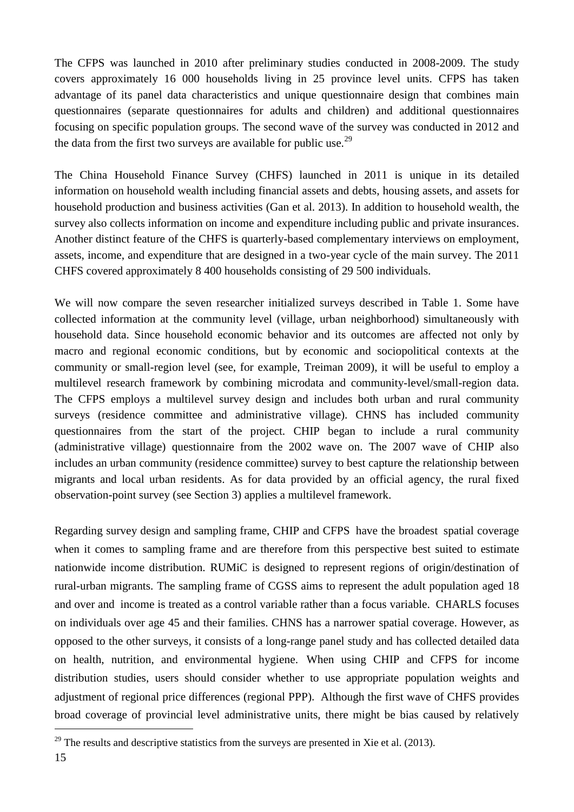The CFPS was launched in 2010 after preliminary studies conducted in 2008-2009. The study covers approximately 16 000 households living in 25 province level units. CFPS has taken advantage of its panel data characteristics and unique questionnaire design that combines main questionnaires (separate questionnaires for adults and children) and additional questionnaires focusing on specific population groups. The second wave of the survey was conducted in 2012 and the data from the first two surveys are available for public use.<sup>29</sup>

The China Household Finance Survey (CHFS) launched in 2011 is unique in its detailed information on household wealth including financial assets and debts, housing assets, and assets for household production and business activities (Gan et al. 2013). In addition to household wealth, the survey also collects information on income and expenditure including public and private insurances. Another distinct feature of the CHFS is quarterly-based complementary interviews on employment, assets, income, and expenditure that are designed in a two-year cycle of the main survey. The 2011 CHFS covered approximately 8 400 households consisting of 29 500 individuals.

We will now compare the seven researcher initialized surveys described in Table 1. Some have collected information at the community level (village, urban neighborhood) simultaneously with household data. Since household economic behavior and its outcomes are affected not only by macro and regional economic conditions, but by economic and sociopolitical contexts at the community or small-region level (see, for example, Treiman 2009), it will be useful to employ a multilevel research framework by combining microdata and community-level/small-region data. The CFPS employs a multilevel survey design and includes both urban and rural community surveys (residence committee and administrative village). CHNS has included community questionnaires from the start of the project. CHIP began to include a rural community (administrative village) questionnaire from the 2002 wave on. The 2007 wave of CHIP also includes an urban community (residence committee) survey to best capture the relationship between migrants and local urban residents. As for data provided by an official agency, the rural fixed observation-point survey (see Section 3) applies a multilevel framework.

Regarding survey design and sampling frame, CHIP and CFPS have the broadest spatial coverage when it comes to sampling frame and are therefore from this perspective best suited to estimate nationwide income distribution. RUMiC is designed to represent regions of origin/destination of rural-urban migrants. The sampling frame of CGSS aims to represent the adult population aged 18 and over and income is treated as a control variable rather than a focus variable. CHARLS focuses on individuals over age 45 and their families. CHNS has a narrower spatial coverage. However, as opposed to the other surveys, it consists of a long-range panel study and has collected detailed data on health, nutrition, and environmental hygiene. When using CHIP and CFPS for income distribution studies, users should consider whether to use appropriate population weights and adjustment of regional price differences (regional PPP). Although the first wave of CHFS provides broad coverage of provincial level administrative units, there might be bias caused by relatively

1

 $^{29}$  The results and descriptive statistics from the surveys are presented in Xie et al. (2013).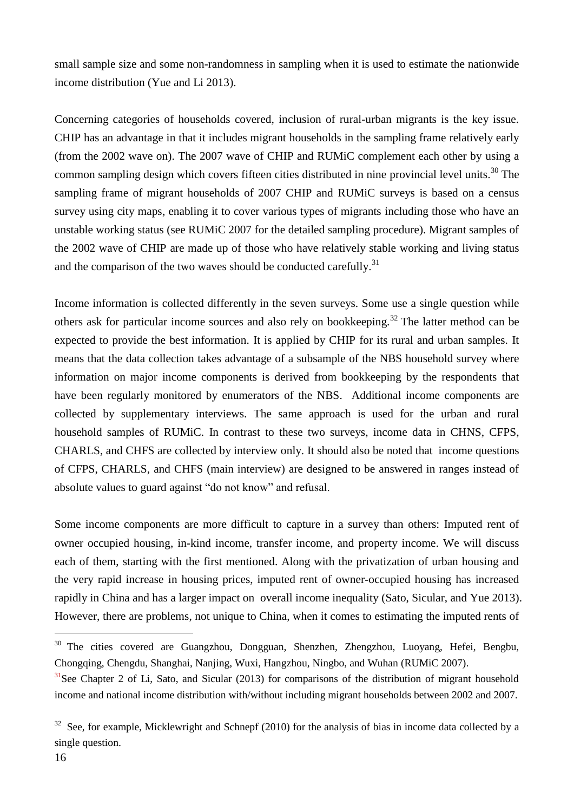small sample size and some non-randomness in sampling when it is used to estimate the nationwide income distribution (Yue and Li 2013).

Concerning categories of households covered, inclusion of rural-urban migrants is the key issue. CHIP has an advantage in that it includes migrant households in the sampling frame relatively early (from the 2002 wave on). The 2007 wave of CHIP and RUMiC complement each other by using a common sampling design which covers fifteen cities distributed in nine provincial level units.<sup>30</sup> The sampling frame of migrant households of 2007 CHIP and RUMiC surveys is based on a census survey using city maps, enabling it to cover various types of migrants including those who have an unstable working status (see RUMiC 2007 for the detailed sampling procedure). Migrant samples of the 2002 wave of CHIP are made up of those who have relatively stable working and living status and the comparison of the two waves should be conducted carefully.<sup>31</sup>

Income information is collected differently in the seven surveys. Some use a single question while others ask for particular income sources and also rely on bookkeeping.<sup>32</sup> The latter method can be expected to provide the best information. It is applied by CHIP for its rural and urban samples. It means that the data collection takes advantage of a subsample of the NBS household survey where information on major income components is derived from bookkeeping by the respondents that have been regularly monitored by enumerators of the NBS. Additional income components are collected by supplementary interviews. The same approach is used for the urban and rural household samples of RUMiC. In contrast to these two surveys, income data in CHNS, CFPS, CHARLS, and CHFS are collected by interview only. It should also be noted that income questions of CFPS, CHARLS, and CHFS (main interview) are designed to be answered in ranges instead of absolute values to guard against "do not know" and refusal.

Some income components are more difficult to capture in a survey than others: Imputed rent of owner occupied housing, in-kind income, transfer income, and property income. We will discuss each of them, starting with the first mentioned. Along with the privatization of urban housing and the very rapid increase in housing prices, imputed rent of owner-occupied housing has increased rapidly in China and has a larger impact on overall income inequality (Sato, Sicular, and Yue 2013). However, there are problems, not unique to China, when it comes to estimating the imputed rents of

<sup>&</sup>lt;sup>30</sup> The cities covered are Guangzhou, Dongguan, Shenzhen, Zhengzhou, Luoyang, Hefei, Bengbu, Chongqing, Chengdu, Shanghai, Nanjing, Wuxi, Hangzhou, Ningbo, and Wuhan (RUMiC 2007).

 $31$ See Chapter 2 of Li, Sato, and Sicular (2013) for comparisons of the distribution of migrant household income and national income distribution with/without including migrant households between 2002 and 2007.

 $32$  See, for example, Micklewright and Schnepf (2010) for the analysis of bias in income data collected by a single question.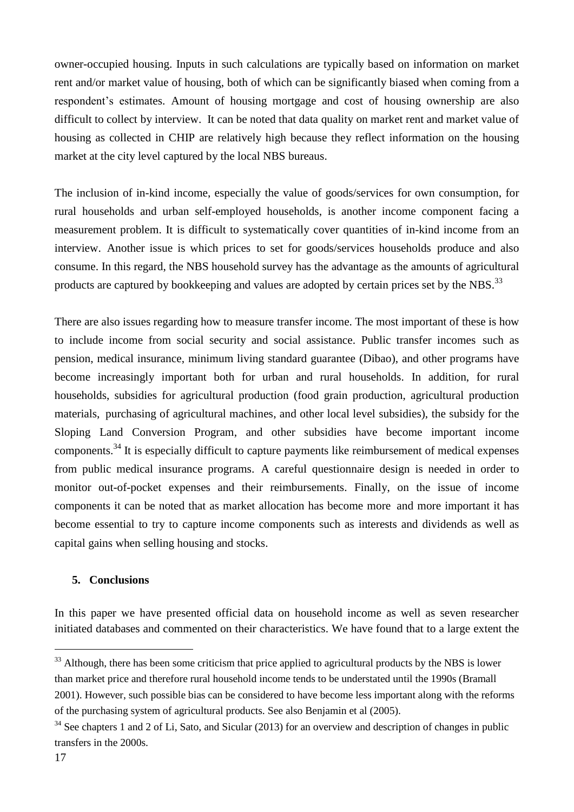owner-occupied housing. Inputs in such calculations are typically based on information on market rent and/or market value of housing, both of which can be significantly biased when coming from a respondent's estimates. Amount of housing mortgage and cost of housing ownership are also difficult to collect by interview. It can be noted that data quality on market rent and market value of housing as collected in CHIP are relatively high because they reflect information on the housing market at the city level captured by the local NBS bureaus.

The inclusion of in-kind income, especially the value of goods/services for own consumption, for rural households and urban self-employed households, is another income component facing a measurement problem. It is difficult to systematically cover quantities of in-kind income from an interview. Another issue is which prices to set for goods/services households produce and also consume. In this regard, the NBS household survey has the advantage as the amounts of agricultural products are captured by bookkeeping and values are adopted by certain prices set by the NBS.<sup>33</sup>

There are also issues regarding how to measure transfer income. The most important of these is how to include income from social security and social assistance. Public transfer incomes such as pension, medical insurance, minimum living standard guarantee (Dibao), and other programs have become increasingly important both for urban and rural households. In addition, for rural households, subsidies for agricultural production (food grain production, agricultural production materials, purchasing of agricultural machines, and other local level subsidies), the subsidy for the Sloping Land Conversion Program, and other subsidies have become important income components.<sup>34</sup> It is especially difficult to capture payments like reimbursement of medical expenses from public medical insurance programs. A careful questionnaire design is needed in order to monitor out-of-pocket expenses and their reimbursements. Finally, on the issue of income components it can be noted that as market allocation has become more and more important it has become essential to try to capture income components such as interests and dividends as well as capital gains when selling housing and stocks.

#### **5. Conclusions**

In this paper we have presented official data on household income as well as seven researcher initiated databases and commented on their characteristics. We have found that to a large extent the

<sup>&</sup>lt;sup>33</sup> Although, there has been some criticism that price applied to agricultural products by the NBS is lower than market price and therefore rural household income tends to be understated until the 1990s (Bramall 2001). However, such possible bias can be considered to have become less important along with the reforms of the purchasing system of agricultural products. See also Benjamin et al (2005).

 $34$  See chapters 1 and 2 of Li, Sato, and Sicular (2013) for an overview and description of changes in public transfers in the 2000s.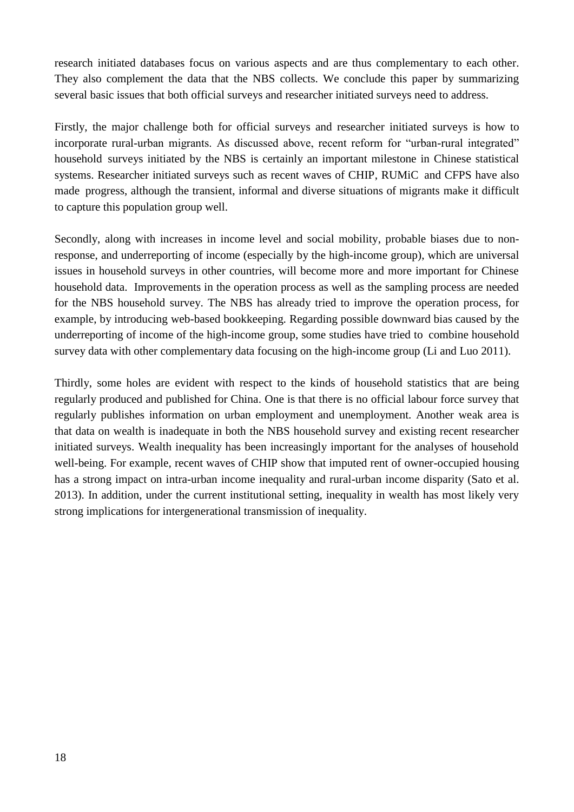research initiated databases focus on various aspects and are thus complementary to each other. They also complement the data that the NBS collects. We conclude this paper by summarizing several basic issues that both official surveys and researcher initiated surveys need to address.

Firstly, the major challenge both for official surveys and researcher initiated surveys is how to incorporate rural-urban migrants. As discussed above, recent reform for "urban-rural integrated" household surveys initiated by the NBS is certainly an important milestone in Chinese statistical systems. Researcher initiated surveys such as recent waves of CHIP, RUMiC and CFPS have also made progress, although the transient, informal and diverse situations of migrants make it difficult to capture this population group well.

Secondly, along with increases in income level and social mobility, probable biases due to nonresponse, and underreporting of income (especially by the high-income group), which are universal issues in household surveys in other countries, will become more and more important for Chinese household data. Improvements in the operation process as well as the sampling process are needed for the NBS household survey. The NBS has already tried to improve the operation process, for example, by introducing web-based bookkeeping. Regarding possible downward bias caused by the underreporting of income of the high-income group, some studies have tried to combine household survey data with other complementary data focusing on the high-income group (Li and Luo 2011).

Thirdly, some holes are evident with respect to the kinds of household statistics that are being regularly produced and published for China. One is that there is no official labour force survey that regularly publishes information on urban employment and unemployment. Another weak area is that data on wealth is inadequate in both the NBS household survey and existing recent researcher initiated surveys. Wealth inequality has been increasingly important for the analyses of household well-being. For example, recent waves of CHIP show that imputed rent of owner-occupied housing has a strong impact on intra-urban income inequality and rural-urban income disparity (Sato et al. 2013). In addition, under the current institutional setting, inequality in wealth has most likely very strong implications for intergenerational transmission of inequality.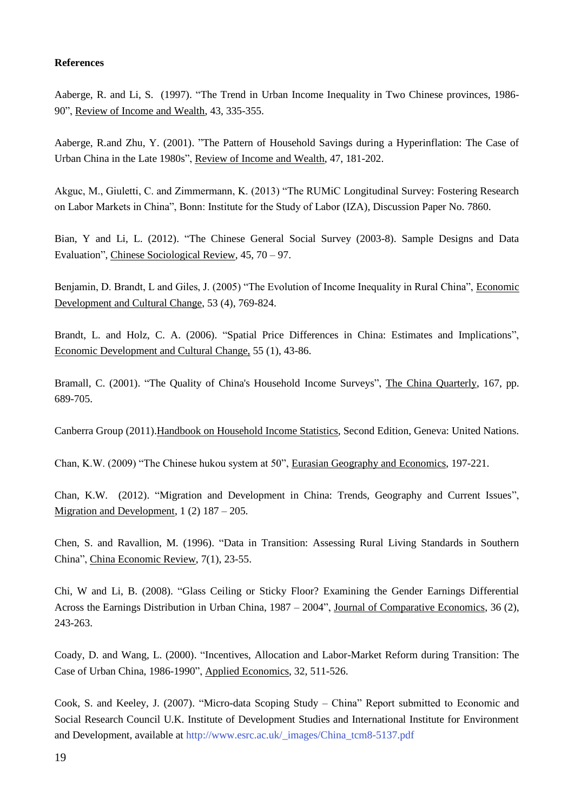#### **References**

Aaberge, R. and Li, S. (1997). "The Trend in Urban Income Inequality in Two Chinese provinces, 1986- 90", Review of Income and Wealth, 43, 335-355.

Aaberge, R.and Zhu, Y. (2001). "The Pattern of Household Savings during a Hyperinflation: The Case of Urban China in the Late 1980s", Review of Income and Wealth, 47, 181-202.

Akguc, M., Giuletti, C. and Zimmermann, K. (2013) "The RUMiC Longitudinal Survey: Fostering Research on Labor Markets in China", Bonn: Institute for the Study of Labor (IZA), Discussion Paper No. 7860.

Bian, Y and Li, L. (2012). "The Chinese General Social Survey (2003-8). Sample Designs and Data Evaluation", Chinese Sociological Review, 45, 70 – 97.

Benjamin, D. Brandt, L and Giles, J. (2005) "The Evolution of Income Inequality in Rural China", Economic Development and Cultural Change, 53 (4), 769-824.

Brandt, L. and Holz, C. A. (2006). "Spatial Price Differences in China: Estimates and Implications", Economic Development and Cultural Change, 55 (1), 43-86.

Bramall, C. (2001). "The Quality of China's Household Income Surveys", The China Quarterly, 167, pp. 689-705.

Canberra Group (2011).Handbook on Household Income Statistics, Second Edition, Geneva: United Nations.

Chan, K.W. (2009) "The Chinese hukou system at 50", Eurasian Geography and Economics, 197-221.

Chan, K.W. (2012). "Migration and Development in China: Trends, Geography and Current Issues", Migration and Development, 1 (2) 187 – 205.

Chen, S. and Ravallion, M. (1996). "Data in Transition: Assessing Rural Living Standards in Southern China", China Economic Review, 7(1), 23-55.

Chi, W and Li, B. (2008). "Glass Ceiling or Sticky Floor? Examining the Gender Earnings Differential Across the Earnings Distribution in Urban China, 1987 – 2004", Journal of Comparative Economics, 36 (2), 243-263.

Coady, D. and Wang, L. (2000). "Incentives, Allocation and Labor-Market Reform during Transition: The Case of Urban China, 1986-1990", Applied Economics, 32, 511-526.

Cook, S. and Keeley, J. (2007). "Micro-data Scoping Study – China" Report submitted to Economic and Social Research Council U.K. Institute of Development Studies and International Institute for Environment and Development, available at [http://www.esrc.ac.uk/\\_images/China\\_tcm8-5137.pdf](http://www.esrc.ac.uk/_images/China_tcm8-5137.pdf)

19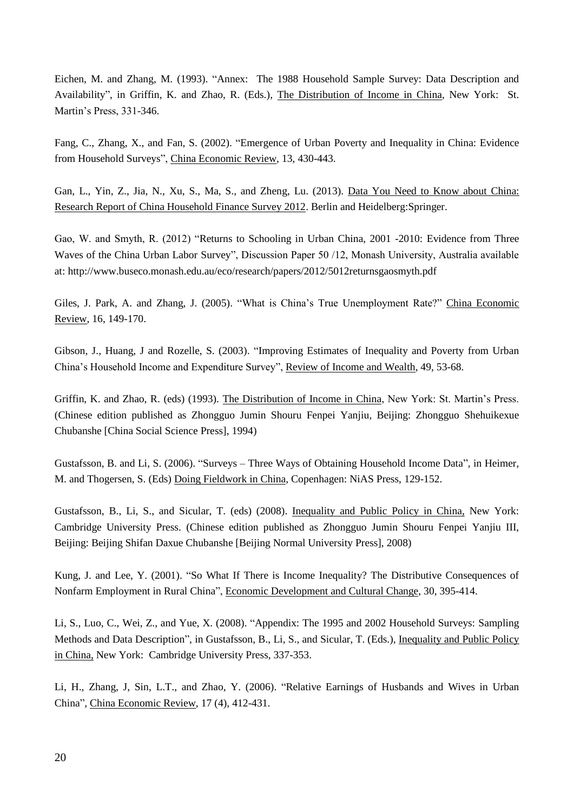Eichen, M. and Zhang, M. (1993). "Annex: The 1988 Household Sample Survey: Data Description and Availability", in Griffin, K. and Zhao, R. (Eds.), The Distribution of Income in China, New York: St. Martin's Press, 331-346.

Fang, C., Zhang, X., and Fan, S. (2002). "Emergence of Urban Poverty and Inequality in China: Evidence from Household Surveys", China Economic Review, 13, 430-443.

Gan, L., Yin, Z., Jia, N., Xu, S., Ma, S., and Zheng, Lu. (2013). Data You Need to Know about China: Research Report of China Household Finance Survey 2012. Berlin and Heidelberg:Springer.

Gao, W. and Smyth, R. (2012) "Returns to Schooling in Urban China, 2001 -2010: Evidence from Three Waves of the China Urban Labor Survey", Discussion Paper 50 /12, Monash University, Australia available at: http://www.buseco.monash.edu.au/eco/research/papers/2012/5012returnsgaosmyth.pdf

Giles, J. Park, A. and Zhang, J. (2005). "What is China's True Unemployment Rate?" China Economic Review, 16, 149-170.

Gibson, J., Huang, J and Rozelle, S. (2003). "Improving Estimates of Inequality and Poverty from Urban China's Household Income and Expenditure Survey", Review of Income and Wealth, 49, 53-68.

Griffin, K. and Zhao, R. (eds) (1993). The Distribution of Income in China, New York: St. Martin's Press. (Chinese edition published as Zhongguo Jumin Shouru Fenpei Yanjiu, Beijing: Zhongguo Shehuikexue Chubanshe [China Social Science Press], 1994)

Gustafsson, B. and Li, S. (2006). "Surveys – Three Ways of Obtaining Household Income Data", in Heimer, M. and Thogersen, S. (Eds) Doing Fieldwork in China, Copenhagen: NiAS Press, 129-152.

Gustafsson, B., Li, S., and Sicular, T. (eds) (2008). Inequality and Public Policy in China, New York: Cambridge University Press. (Chinese edition published as Zhongguo Jumin Shouru Fenpei Yanjiu III, Beijing: Beijing Shifan Daxue Chubanshe [Beijing Normal University Press], 2008)

Kung, J. and Lee, Y. (2001). "So What If There is Income Inequality? The Distributive Consequences of Nonfarm Employment in Rural China", Economic Development and Cultural Change, 30, 395-414.

Li, S., Luo, C., Wei, Z., and Yue, X. (2008). "Appendix: The 1995 and 2002 Household Surveys: Sampling Methods and Data Description", in Gustafsson, B., Li, S., and Sicular, T. (Eds.), Inequality and Public Policy in China, New York: Cambridge University Press, 337-353.

Li, H., Zhang, J, Sin, L.T., and Zhao, Y. (2006). "Relative Earnings of Husbands and Wives in Urban China", China Economic Review, 17 (4), 412-431.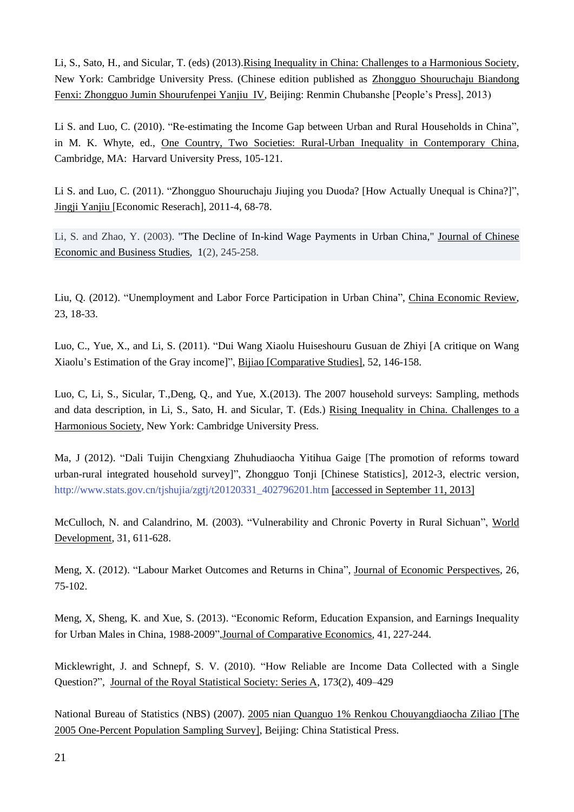Li, S., Sato, H., and Sicular, T. (eds) (2013).Rising Inequality in China: Challenges to a Harmonious Society, New York: Cambridge University Press. (Chinese edition published as Zhongguo Shouruchaju Biandong Fenxi: Zhongguo Jumin Shourufenpei Yanjiu IV, Beijing: Renmin Chubanshe [People's Press], 2013)

Li S. and Luo, C. (2010). "Re-estimating the Income Gap between Urban and Rural Households in China", in M. K. Whyte, ed., One Country, Two Societies: Rural-Urban Inequality in Contemporary China, Cambridge, MA: Harvard University Press, 105-121.

Li S. and Luo, C. (2011). "Zhongguo Shouruchaju Jiujing you Duoda? [How Actually Unequal is China?]", Jingji Yanjiu [Economic Reserach], 2011-4, 68-78.

Li, S. and Zhao, Y. (2003). ["The Decline of In-kind Wage Payments in Urban China,](http://ideas.repec.org/a/taf/jocebs/v1y2003i2p245-258.html)" [Journal of Chinese](http://ideas.repec.org/s/taf/jocebs.html)  [Economic and Business Studies,](http://ideas.repec.org/s/taf/jocebs.html) 1(2), 245-258.

Liu, Q. (2012). "Unemployment and Labor Force Participation in Urban China", China Economic Review, 23, 18-33.

Luo, C., Yue, X., and Li, S. (2011). "Dui Wang Xiaolu Huiseshouru Gusuan de Zhiyi [A critique on Wang Xiaolu's Estimation of the Gray income]", Bijiao [Comparative Studies], 52, 146-158.

Luo, C, Li, S., Sicular, T.,Deng, Q., and Yue, X.(2013). The 2007 household surveys: Sampling, methods and data description, in Li, S., Sato, H. and Sicular, T. (Eds.) Rising Inequality in China. Challenges to a Harmonious Society, New York: Cambridge University Press.

Ma, J (2012). "Dali Tuijin Chengxiang Zhuhudiaocha Yitihua Gaige [The promotion of reforms toward urban-rural integrated household survey]", Zhongguo Tonji [Chinese Statistics], 2012-3, electric version, [http://www.stats.gov.cn/tjshujia/zgtj/t20120331\\_402796201.htm](http://www.stats.gov.cn/tjshujia/zgtj/t20120331_402796201.htm) [accessed in September 11, 2013]

McCulloch, N. and Calandrino, M. (2003). "Vulnerability and Chronic Poverty in Rural Sichuan", World Development, 31, 611-628.

Meng, X. (2012). "Labour Market Outcomes and Returns in China", Journal of Economic Perspectives, 26, 75-102.

Meng, X, Sheng, K. and Xue, S. (2013). "Economic Reform, Education Expansion, and Earnings Inequality for Urban Males in China, 1988-2009",Journal of Comparative Economics, 41, 227-244.

Micklewright, J. and Schnepf, S. V. (2010). "How Reliable are Income Data Collected with a Single Question?", Journal of the Royal Statistical Society: Series A, 173(2), 409–429

National Bureau of Statistics (NBS) (2007). 2005 nian Quanguo 1% Renkou Chouyangdiaocha Ziliao [The 2005 One-Percent Population Sampling Survey], Beijing: China Statistical Press.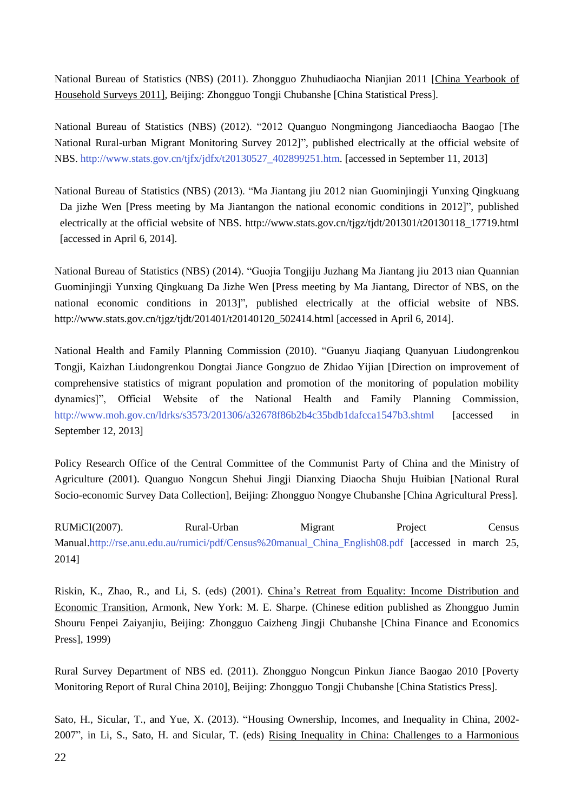National Bureau of Statistics (NBS) (2011). Zhongguo Zhuhudiaocha Nianjian 2011 [China Yearbook of Household Surveys 2011], Beijing: Zhongguo Tongji Chubanshe [China Statistical Press].

National Bureau of Statistics (NBS) (2012). "2012 Quanguo Nongmingong Jiancediaocha Baogao [The National Rural-urban Migrant Monitoring Survey 2012]", published electrically at the official website of NBS. [http://www.stats.gov.cn/tjfx/jdfx/t20130527\\_402899251.htm.](http://www.stats.gov.cn/tjfx/jdfx/t20130527_402899251.htm) [accessed in September 11, 2013]

National Bureau of Statistics (NBS) (2013). "Ma Jiantang jiu 2012 nian Guominjingji Yunxing Qingkuang Da jizhe Wen [Press meeting by Ma Jiantangon the national economic conditions in 2012]", published electrically at the official website of NBS. http://www.stats.gov.cn/tjgz/tjdt/201301/t20130118\_17719.html [accessed in April 6, 2014].

National Bureau of Statistics (NBS) (2014). "Guojia Tongjiju Juzhang Ma Jiantang jiu 2013 nian Quannian Guominjingji Yunxing Qingkuang Da Jizhe Wen [Press meeting by Ma Jiantang, Director of NBS, on the national economic conditions in 2013]", published electrically at the official website of NBS. http://www.stats.gov.cn/tjgz/tjdt/201401/t20140120\_502414.html [accessed in April 6, 2014].

National Health and Family Planning Commission (2010). "Guanyu Jiaqiang Quanyuan Liudongrenkou Tongji, Kaizhan Liudongrenkou Dongtai Jiance Gongzuo de Zhidao Yijian [Direction on improvement of comprehensive statistics of migrant population and promotion of the monitoring of population mobility dynamics]", Official Website of the National Health and Family Planning Commission, <http://www.moh.gov.cn/ldrks/s3573/201306/a32678f86b2b4c35bdb1dafcca1547b3.shtml> [accessed in September 12, 2013]

Policy Research Office of the Central Committee of the Communist Party of China and the Ministry of Agriculture (2001). Quanguo Nongcun Shehui Jingji Dianxing Diaocha Shuju Huibian [National Rural Socio-economic Survey Data Collection], Beijing: Zhongguo Nongye Chubanshe [China Agricultural Press].

RUMiCI(2007). Rural-Urban Migrant Project Census Manual[.http://rse.anu.edu.au/rumici/pdf/Census%20manual\\_China\\_English08.pdf](http://rse.anu.edu.au/rumici/pdf/Census%20manual_China_English08.pdf) [accessed in march 25, 2014]

Riskin, K., Zhao, R., and Li, S. (eds) (2001). China's Retreat from Equality: Income Distribution and Economic Transition, Armonk, New York: M. E. Sharpe. (Chinese edition published as Zhongguo Jumin Shouru Fenpei Zaiyanjiu, Beijing: Zhongguo Caizheng Jingji Chubanshe [China Finance and Economics Press], 1999)

Rural Survey Department of NBS ed. (2011). Zhongguo Nongcun Pinkun Jiance Baogao 2010 [Poverty Monitoring Report of Rural China 2010], Beijing: Zhongguo Tongji Chubanshe [China Statistics Press].

Sato, H., Sicular, T., and Yue, X. (2013). "Housing Ownership, Incomes, and Inequality in China, 2002- 2007", in Li, S., Sato, H. and Sicular, T. (eds) Rising Inequality in China: Challenges to a Harmonious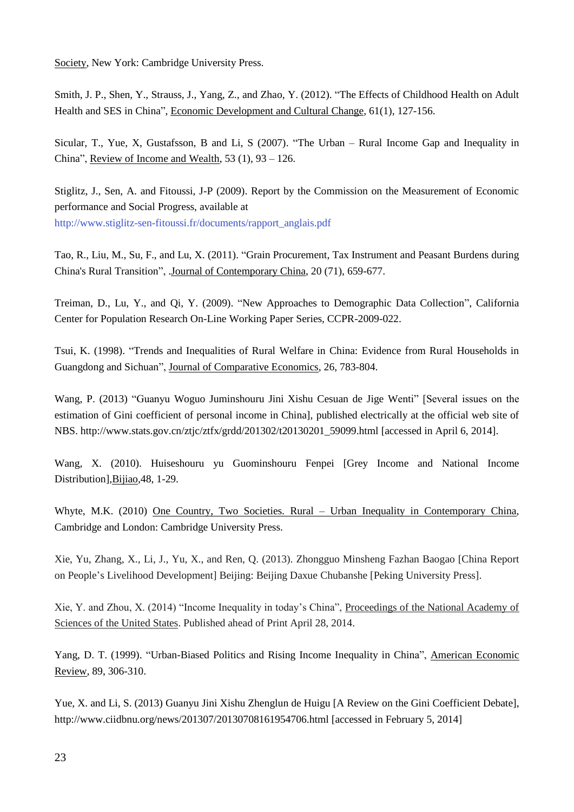Society, New York: Cambridge University Press.

Smith, J. P., Shen, Y., Strauss, J., Yang, Z., and Zhao, Y. (2012). "The Effects of Childhood Health on Adult Health and SES in China", Economic Development and Cultural Change, 61(1), 127-156.

Sicular, T., Yue, X, Gustafsson, B and Li, S (2007). "The Urban – Rural Income Gap and Inequality in China", Review of Income and Wealth, 53 (1), 93 – 126.

Stiglitz, J., Sen, A. and Fitoussi, J-P (2009). Report by the Commission on the Measurement of Economic performance and Social Progress, available at [http://www.stiglitz-sen-fitoussi.fr/documents/rapport\\_anglais.pdf](http://www.stiglitz-sen-fitoussi.fr/documents/rapport_anglais.pdf)

Tao, R., Liu, M., Su, F., and Lu, X. (2011). "Grain Procurement, Tax Instrument and Peasant Burdens during China's Rural Transition", .Journal of Contemporary China, 20 (71), 659-677.

Treiman, D., Lu, Y., and Qi, Y. (2009). "New Approaches to Demographic Data Collection", California Center for Population Research On-Line Working Paper Series, CCPR-2009-022.

Tsui, K. (1998). "Trends and Inequalities of Rural Welfare in China: Evidence from Rural Households in Guangdong and Sichuan", Journal of Comparative Economics, 26, 783-804.

Wang, P. (2013) "Guanyu Woguo Juminshouru Jini Xishu Cesuan de Jige Wenti" [Several issues on the estimation of Gini coefficient of personal income in China], published electrically at the official web site of NBS. http://www.stats.gov.cn/ztjc/ztfx/grdd/201302/t20130201\_59099.html [accessed in April 6, 2014].

Wang, X. (2010). Huiseshouru yu Guominshouru Fenpei [Grey Income and National Income Distribution],Bijiao,48, 1-29.

Whyte, M.K. (2010) One Country, Two Societies. Rural – Urban Inequality in Contemporary China, Cambridge and London: Cambridge University Press.

Xie, Yu, Zhang, X., Li, J., Yu, X., and Ren, Q. (2013). Zhongguo Minsheng Fazhan Baogao [China Report on People's Livelihood Development] Beijing: Beijing Daxue Chubanshe [Peking University Press].

Xie, Y. and Zhou, X. (2014) "Income Inequality in today's China", Proceedings of the National Academy of Sciences of the United States. Published ahead of Print April 28, 2014.

Yang, D. T. (1999). "Urban-Biased Politics and Rising Income Inequality in China", American Economic Review, 89, 306-310.

Yue, X. and Li, S. (2013) Guanyu Jini Xishu Zhenglun de Huigu [A Review on the Gini Coefficient Debate], <http://www.ciidbnu.org/news/201307/20130708161954706.html> [accessed in February 5, 2014]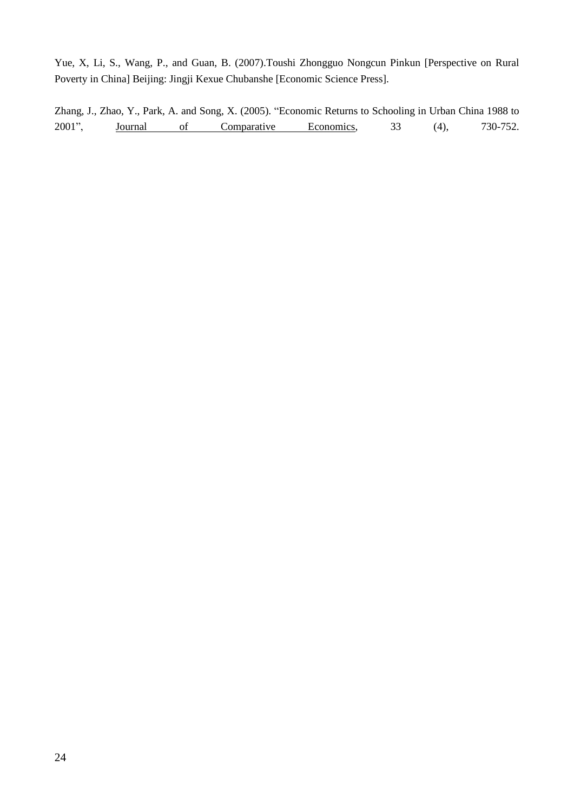Yue, X, Li, S., Wang, P., and Guan, B. (2007).Toushi Zhongguo Nongcun Pinkun [Perspective on Rural Poverty in China] Beijing: Jingji Kexue Chubanshe [Economic Science Press].

Zhang, J., Zhao, Y., Park, A. and Song, X. (2005). "Economic Returns to Schooling in Urban China 1988 to 2001", **Journal** of Comparative Economics, 33 (4), 730-752.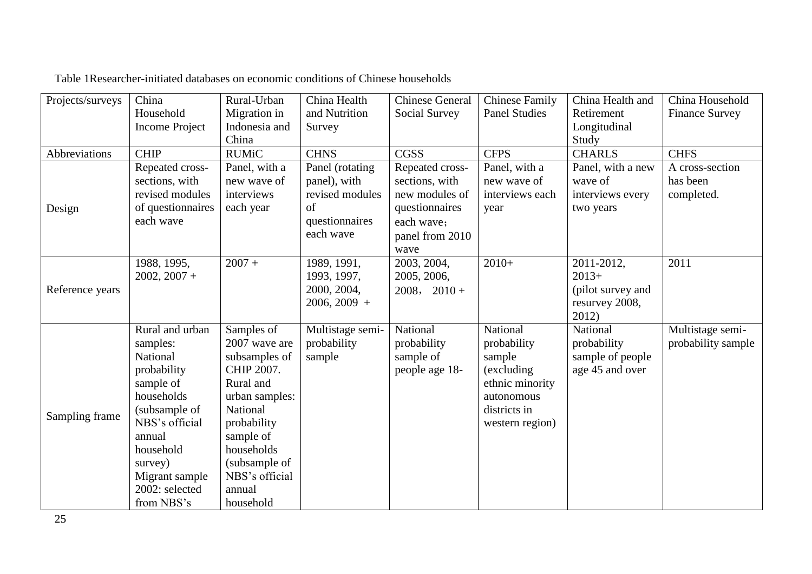| Projects/surveys | China                 | Rural-Urban    | China Health     | <b>Chinese General</b> | <b>Chinese Family</b> | China Health and  | China Household       |
|------------------|-----------------------|----------------|------------------|------------------------|-----------------------|-------------------|-----------------------|
|                  | Household             | Migration in   | and Nutrition    | Social Survey          | <b>Panel Studies</b>  | Retirement        | <b>Finance Survey</b> |
|                  | <b>Income Project</b> | Indonesia and  | Survey           |                        |                       | Longitudinal      |                       |
|                  |                       | China          |                  |                        |                       | Study             |                       |
| Abbreviations    | <b>CHIP</b>           | <b>RUMiC</b>   | <b>CHNS</b>      | CGSS                   | <b>CFPS</b>           | <b>CHARLS</b>     | <b>CHFS</b>           |
|                  | Repeated cross-       | Panel, with a  | Panel (rotating  | Repeated cross-        | Panel, with a         | Panel, with a new | A cross-section       |
|                  | sections, with        | new wave of    | panel), with     | sections, with         | new wave of           | wave of           | has been              |
|                  | revised modules       | interviews     | revised modules  | new modules of         | interviews each       | interviews every  | completed.            |
| Design           | of questionnaires     | each year      | of               | questionnaires         | year                  | two years         |                       |
|                  | each wave             |                | questionnaires   | each wave:             |                       |                   |                       |
|                  |                       |                | each wave        | panel from 2010        |                       |                   |                       |
|                  |                       |                |                  | wave                   |                       |                   |                       |
|                  | 1988, 1995,           | $2007 +$       | 1989, 1991,      | 2003, 2004,            | $2010+$               | 2011-2012,        | 2011                  |
|                  | $2002, 2007 +$        |                | 1993, 1997,      | 2005, 2006,            |                       | $2013+$           |                       |
| Reference years  |                       |                | 2000, 2004,      | $2008, 2010 +$         |                       | (pilot survey and |                       |
|                  |                       |                | $2006, 2009 +$   |                        |                       | resurvey 2008,    |                       |
|                  |                       |                |                  |                        |                       | 2012)             |                       |
|                  | Rural and urban       | Samples of     | Multistage semi- | National               | National              | National          | Multistage semi-      |
|                  | samples:              | 2007 wave are  | probability      | probability            | probability           | probability       | probability sample    |
|                  | National              | subsamples of  | sample           | sample of              | sample                | sample of people  |                       |
|                  | probability           | CHIP 2007.     |                  | people age 18-         | (excluding)           | age 45 and over   |                       |
|                  | sample of             | Rural and      |                  |                        | ethnic minority       |                   |                       |
|                  | households            | urban samples: |                  |                        | autonomous            |                   |                       |
|                  | (subsample of         | National       |                  |                        | districts in          |                   |                       |
| Sampling frame   | NBS's official        | probability    |                  |                        | western region)       |                   |                       |
|                  | annual                | sample of      |                  |                        |                       |                   |                       |
|                  | household             | households     |                  |                        |                       |                   |                       |
|                  | survey)               | (subsample of  |                  |                        |                       |                   |                       |
|                  | Migrant sample        | NBS's official |                  |                        |                       |                   |                       |
|                  | 2002: selected        | annual         |                  |                        |                       |                   |                       |
|                  | from NBS's            | household      |                  |                        |                       |                   |                       |

Table 1Researcher-initiated databases on economic conditions of Chinese households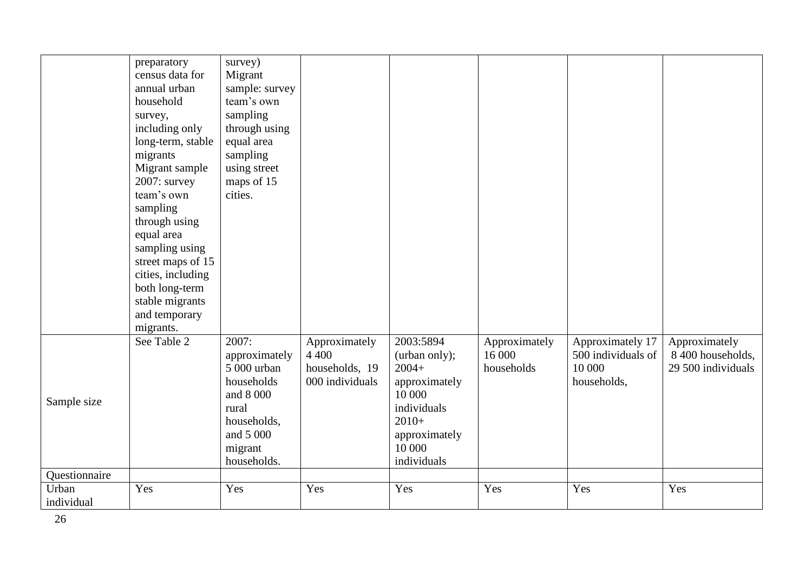|                        | preparatory       | survey)        |                 |               |               |                    |                    |
|------------------------|-------------------|----------------|-----------------|---------------|---------------|--------------------|--------------------|
|                        | census data for   | Migrant        |                 |               |               |                    |                    |
|                        | annual urban      | sample: survey |                 |               |               |                    |                    |
|                        | household         | team's own     |                 |               |               |                    |                    |
|                        | survey,           | sampling       |                 |               |               |                    |                    |
|                        | including only    | through using  |                 |               |               |                    |                    |
|                        | long-term, stable | equal area     |                 |               |               |                    |                    |
|                        | migrants          | sampling       |                 |               |               |                    |                    |
|                        | Migrant sample    | using street   |                 |               |               |                    |                    |
|                        | 2007: survey      | maps of 15     |                 |               |               |                    |                    |
|                        | team's own        | cities.        |                 |               |               |                    |                    |
|                        | sampling          |                |                 |               |               |                    |                    |
|                        | through using     |                |                 |               |               |                    |                    |
|                        | equal area        |                |                 |               |               |                    |                    |
|                        | sampling using    |                |                 |               |               |                    |                    |
|                        | street maps of 15 |                |                 |               |               |                    |                    |
|                        | cities, including |                |                 |               |               |                    |                    |
|                        | both long-term    |                |                 |               |               |                    |                    |
|                        | stable migrants   |                |                 |               |               |                    |                    |
|                        | and temporary     |                |                 |               |               |                    |                    |
|                        | migrants.         |                |                 |               |               |                    |                    |
|                        | See Table 2       | 2007:          | Approximately   | 2003:5894     | Approximately | Approximately 17   | Approximately      |
|                        |                   | approximately  | 4 4 0 0         | (urban only); | 16 000        | 500 individuals of | 8 400 households,  |
|                        |                   | 5 000 urban    | households, 19  | $2004+$       | households    | 10 000             | 29 500 individuals |
|                        |                   | households     | 000 individuals | approximately |               | households,        |                    |
| Sample size            |                   | and 8 000      |                 | 10 000        |               |                    |                    |
|                        |                   | rural          |                 | individuals   |               |                    |                    |
|                        |                   | households,    |                 | $2010+$       |               |                    |                    |
|                        |                   | and 5 000      |                 | approximately |               |                    |                    |
|                        |                   | migrant        |                 | 10 000        |               |                    |                    |
|                        |                   | households.    |                 | individuals   |               |                    |                    |
| Questionnaire<br>Urban | Yes               | Yes            | Yes             | Yes           | Yes           | Yes                | Yes                |
| individual             |                   |                |                 |               |               |                    |                    |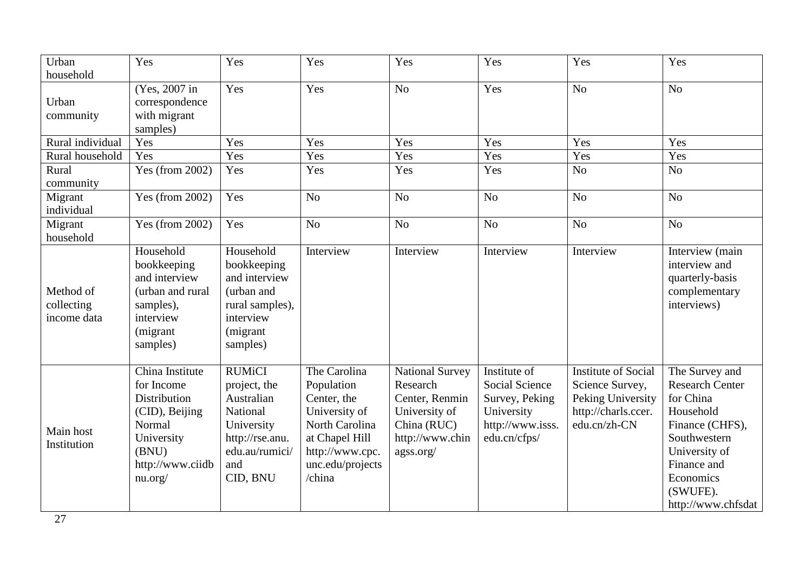| Urban<br>household                     | Yes                                                                                                                                    | Yes                                                                                                                           | Yes                                                                                                                                             | Yes                                                                                                           | Yes                                                                                                       | Yes                                                                                                       | Yes                                                                                                                                                                                  |
|----------------------------------------|----------------------------------------------------------------------------------------------------------------------------------------|-------------------------------------------------------------------------------------------------------------------------------|-------------------------------------------------------------------------------------------------------------------------------------------------|---------------------------------------------------------------------------------------------------------------|-----------------------------------------------------------------------------------------------------------|-----------------------------------------------------------------------------------------------------------|--------------------------------------------------------------------------------------------------------------------------------------------------------------------------------------|
| Urban<br>community                     | (Yes, 2007 in<br>correspondence<br>with migrant<br>samples)                                                                            | Yes                                                                                                                           | Yes                                                                                                                                             | N <sub>o</sub>                                                                                                | Yes                                                                                                       | N <sub>o</sub>                                                                                            | N <sub>o</sub>                                                                                                                                                                       |
| Rural individual                       | Yes                                                                                                                                    | Yes                                                                                                                           | Yes                                                                                                                                             | Yes                                                                                                           | Yes                                                                                                       | Yes                                                                                                       | Yes                                                                                                                                                                                  |
| Rural household                        | Yes                                                                                                                                    | Yes                                                                                                                           | Yes                                                                                                                                             | Yes                                                                                                           | Yes                                                                                                       | Yes                                                                                                       | Yes                                                                                                                                                                                  |
| Rural<br>community                     | Yes (from 2002)                                                                                                                        | Yes                                                                                                                           | Yes                                                                                                                                             | Yes                                                                                                           | Yes                                                                                                       | N <sub>o</sub>                                                                                            | N <sub>o</sub>                                                                                                                                                                       |
| Migrant<br>individual                  | Yes (from $2002$ )                                                                                                                     | Yes                                                                                                                           | N <sub>o</sub>                                                                                                                                  | N <sub>o</sub>                                                                                                | No                                                                                                        | N <sub>o</sub>                                                                                            | N <sub>o</sub>                                                                                                                                                                       |
| Migrant<br>household                   | Yes (from 2002)                                                                                                                        | Yes                                                                                                                           | No                                                                                                                                              | No                                                                                                            | N <sub>o</sub>                                                                                            | N <sub>o</sub>                                                                                            | N <sub>o</sub>                                                                                                                                                                       |
| Method of<br>collecting<br>income data | Household<br>bookkeeping<br>and interview<br>(urban and rural<br>samples),<br>interview<br>(migrant)<br>samples)                       | Household<br>bookkeeping<br>and interview<br>(urban and<br>rural samples),<br>interview<br>(migrant)<br>samples)              | Interview                                                                                                                                       | Interview                                                                                                     | Interview                                                                                                 | Interview                                                                                                 | Interview (main<br>interview and<br>quarterly-basis<br>complementary<br>interviews)                                                                                                  |
| Main host<br>Institution               | China Institute<br>for Income<br><b>Distribution</b><br>(CID), Beijing<br>Normal<br>University<br>(BNU)<br>http://www.ciidb<br>nu.org/ | <b>RUMiCI</b><br>project, the<br>Australian<br>National<br>University<br>http://rse.anu.<br>edu.au/rumici/<br>and<br>CID, BNU | The Carolina<br>Population<br>Center, the<br>University of<br>North Carolina<br>at Chapel Hill<br>http://www.cpc.<br>unc.edu/projects<br>/china | National Survey<br>Research<br>Center, Renmin<br>University of<br>China (RUC)<br>http://www.chin<br>agss.org/ | Institute of<br><b>Social Science</b><br>Survey, Peking<br>University<br>http://www.isss.<br>edu.cn/cfps/ | <b>Institute of Social</b><br>Science Survey,<br>Peking University<br>http://charls.ccer.<br>edu.cn/zh-CN | The Survey and<br><b>Research Center</b><br>for China<br>Household<br>Finance (CHFS),<br>Southwestern<br>University of<br>Finance and<br>Economics<br>(SWUFE).<br>http://www.chfsdat |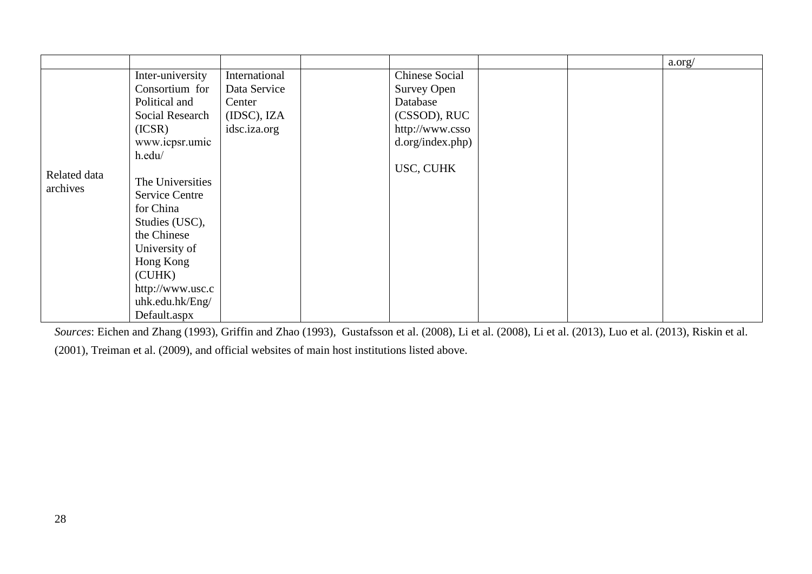|                          |                       |               |                       |  | a.org/ |
|--------------------------|-----------------------|---------------|-----------------------|--|--------|
|                          | Inter-university      | International | <b>Chinese Social</b> |  |        |
|                          | Consortium for        | Data Service  | <b>Survey Open</b>    |  |        |
|                          | Political and         | Center        | Database              |  |        |
|                          | Social Research       | (IDSC), IZA   | (CSSOD), RUC          |  |        |
|                          | (ICSR)                | idsc.iza.org  | http://www.csso       |  |        |
|                          | www.icpsr.umic        |               | d.org/index.php)      |  |        |
| Related data<br>archives | h.edu/                |               |                       |  |        |
|                          |                       |               | USC, CUHK             |  |        |
|                          | The Universities      |               |                       |  |        |
|                          | <b>Service Centre</b> |               |                       |  |        |
|                          | for China             |               |                       |  |        |
|                          | Studies (USC),        |               |                       |  |        |
|                          | the Chinese           |               |                       |  |        |
|                          | University of         |               |                       |  |        |
|                          | Hong Kong             |               |                       |  |        |
|                          | (CUHK)                |               |                       |  |        |
|                          | http://www.usc.c      |               |                       |  |        |
|                          | uhk.edu.hk/Eng/       |               |                       |  |        |
|                          | Default.aspx          |               |                       |  |        |

*Sources*: Eichen and Zhang (1993), Griffin and Zhao (1993), Gustafsson et al. (2008), Li et al. (2008), Li et al. (2013), Luo et al. (2013), Riskin et al.

(2001), Treiman et al. (2009), and official websites of main host institutions listed above.